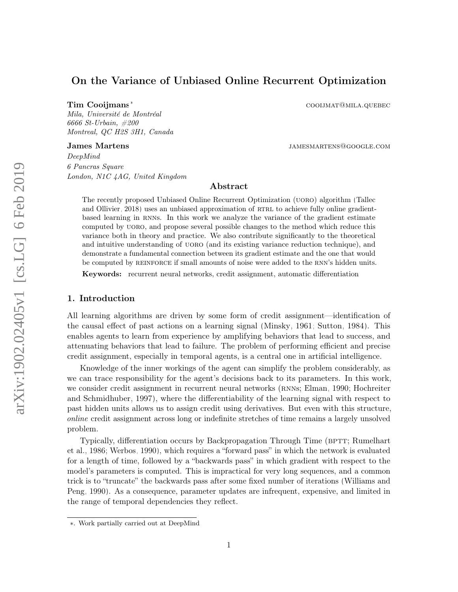# On the Variance of Unbiased Online Recurrent Optimization

Mila, Université de Montréal 6666 St-Urbain, #200 Montreal, QC H2S 3H1, Canada

Tim Cooijmans<sup>∗</sup> coolimens<sup>∗</sup> coolimens<sup>∗</sup> coolimens<sup>∗</sup>

James Martens is a settlement of the state of the state of the state of the state of the state of the state of the state of the state of the state of the state of the state of the state of the state of the state of the sta

DeepMind 6 Pancras Square London, N1C 4AG, United Kingdom

# Abstract

The recently proposed Unbiased Online Recurrent Optimization (uoro) algorithm [\(Tallec](#page-36-0) [and Ollivier, 2018\)](#page-36-0) uses an unbiased approximation of RTRL to achieve fully online gradientbased learning in rnns. In this work we analyze the variance of the gradient estimate computed by uoro, and propose several possible changes to the method which reduce this variance both in theory and practice. We also contribute significantly to the theoretical and intuitive understanding of UORO (and its existing variance reduction technique), and demonstrate a fundamental connection between its gradient estimate and the one that would be computed by REINFORCE if small amounts of noise were added to the RNN's hidden units.

Keywords: recurrent neural networks, credit assignment, automatic differentiation

## <span id="page-0-0"></span>1. Introduction

All learning algorithms are driven by some form of credit assignment—identification of the causal effect of past actions on a learning signal [\(Minsky, 1961;](#page-35-0) [Sutton, 1984\)](#page-35-1). This enables agents to learn from experience by amplifying behaviors that lead to success, and attenuating behaviors that lead to failure. The problem of performing efficient and precise credit assignment, especially in temporal agents, is a central one in artificial intelligence.

Knowledge of the inner workings of the agent can simplify the problem considerably, as we can trace responsibility for the agent's decisions back to its parameters. In this work, we consider credit assignment in recurrent neural networks (RNNS; [Elman, 1990;](#page-34-0) [Hochreiter](#page-34-1) [and Schmidhuber, 1997\)](#page-34-1), where the differentiability of the learning signal with respect to past hidden units allows us to assign credit using derivatives. But even with this structure, online credit assignment across long or indefinite stretches of time remains a largely unsolved problem.

Typically, differentiation occurs by Backpropagation Through Time (BPTT; [Rumelhart](#page-35-2) [et al., 1986;](#page-35-2) [Werbos, 1990\)](#page-36-1), which requires a "forward pass" in which the network is evaluated for a length of time, followed by a "backwards pass" in which gradient with respect to the model's parameters is computed. This is impractical for very long sequences, and a common trick is to "truncate" the backwards pass after some fixed number of iterations [\(Williams and](#page-36-2) [Peng, 1990\)](#page-36-2). As a consequence, parameter updates are infrequent, expensive, and limited in the range of temporal dependencies they reflect.

<sup>∗</sup>. Work partially carried out at DeepMind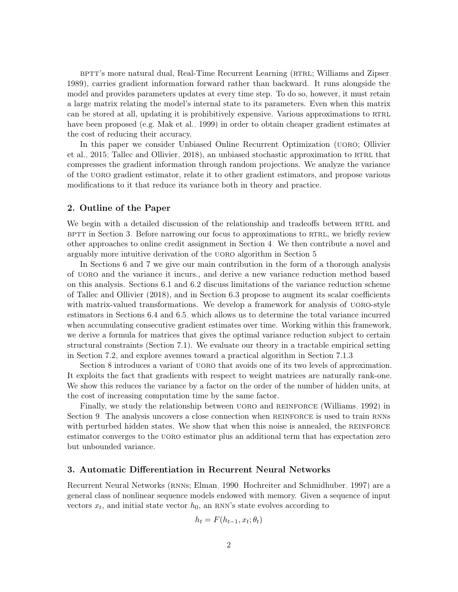betthere natural dual, Real-Time Recurrent Learning (RTRL; [Williams and Zipser,](#page-36-3) [1989\)](#page-36-3), carries gradient information forward rather than backward. It runs alongside the model and provides parameters updates at every time step. To do so, however, it must retain a large matrix relating the model's internal state to its parameters. Even when this matrix can be stored at all, updating it is prohibitively expensive. Various approximations to RTRL have been proposed (e.g. [Mak et al., 1999\)](#page-35-3) in order to obtain cheaper gradient estimates at the cost of reducing their accuracy.

In this paper we consider Unbiased Online Recurrent Optimization (uoro; [Ollivier](#page-35-4) [et al., 2015;](#page-35-4) [Tallec and Ollivier, 2018\)](#page-36-0), an unbiased stochastic approximation to RTRL that compresses the gradient information through random projections. We analyze the variance of the uoro gradient estimator, relate it to other gradient estimators, and propose various modifications to it that reduce its variance both in theory and practice.

### <span id="page-1-1"></span>2. Outline of the Paper

We begin with a detailed discussion of the relationship and tradeoffs between RTRL and BPTT in Section [3.](#page-1-0) Before narrowing our focus to approximations to RTRL, we briefly review other approaches to online credit assignment in Section [4.](#page-3-0) We then contribute a novel and arguably more intuitive derivation of the uoro algorithm in Section [5.](#page-4-0)

In Sections [6](#page-6-0) and [7](#page-10-0) we give our main contribution in the form of a thorough analysis of uoro and the variance it incurs., and derive a new variance reduction method based on this analysis. Sections [6.1](#page-7-0) and [6.2](#page-7-1) discuss limitations of the variance reduction scheme of [Tallec and Ollivier](#page-36-0) [\(2018\)](#page-36-0), and in Section [6.3](#page-8-0) propose to augment its scalar coefficients with matrix-valued transformations. We develop a framework for analysis of UORO-style estimators in Sections [6.4](#page-9-0) and [6.5,](#page-10-1) which allows us to determine the total variance incurred when accumulating consecutive gradient estimates over time. Working within this framework, we derive a formula for matrices that gives the optimal variance reduction subject to certain structural constraints (Section [7.1\)](#page-10-2). We evaluate our theory in a tractable empirical setting in Section [7.2,](#page-14-0) and explore avenues toward a practical algorithm in Section [7.1.3.](#page-13-0)

Section [8](#page-16-0) introduces a variant of UORO that avoids one of its two levels of approximation. It exploits the fact that gradients with respect to weight matrices are naturally rank-one. We show this reduces the variance by a factor on the order of the number of hidden units, at the cost of increasing computation time by the same factor.

Finally, we study the relationship between UORO and REINFORCE [\(Williams, 1992\)](#page-36-4) in Section [9.](#page-19-0) The analysis uncovers a close connection when REINFORCE is used to train RNNs with perturbed hidden states. We show that when this noise is annealed, the REINFORCE estimator converges to the uoro estimator plus an additional term that has expectation zero but unbounded variance.

## <span id="page-1-0"></span>3. Automatic Differentiation in Recurrent Neural Networks

Recurrent Neural Networks (RNNS; [Elman, 1990;](#page-34-0) [Hochreiter and Schmidhuber, 1997\)](#page-34-1) are a general class of nonlinear sequence models endowed with memory. Given a sequence of input vectors  $x_t$ , and initial state vector  $h_0$ , an RNN's state evolves according to

$$
h_t = F(h_{t-1}, x_t; \theta_t)
$$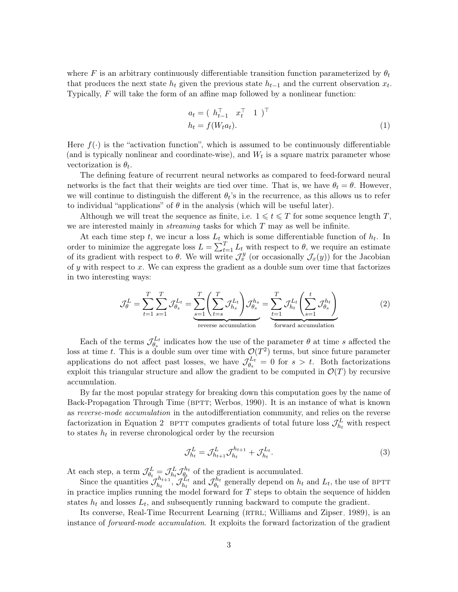where F is an arbitrary continuously differentiable transition function parameterized by  $\theta_t$ that produces the next state  $h_t$  given the previous state  $h_{t-1}$  and the current observation  $x_t$ . Typically,  $F$  will take the form of an affine map followed by a nonlinear function:

<span id="page-2-1"></span>
$$
a_t = (h_{t-1}^\top x_t^\top 1)^\top
$$
  
\n
$$
h_t = f(W_t a_t).
$$
\n(1)

Here  $f(\cdot)$  is the "activation function", which is assumed to be continuously differentiable (and is typically nonlinear and coordinate-wise), and  $W_t$  is a square matrix parameter whose vectorization is  $\theta_t$ .

The defining feature of recurrent neural networks as compared to feed-forward neural networks is the fact that their weights are tied over time. That is, we have  $\theta_t = \theta$ . However, we will continue to distinguish the different  $\theta_t$ 's in the recurrence, as this allows us to refer to individual "applications" of  $\theta$  in the analysis (which will be useful later).

Although we will treat the sequence as finite, i.e.  $1 \leq t \leq T$  for some sequence length T, we are interested mainly in *streaming* tasks for which  $T$  may as well be infinite.

At each time step t, we incur a loss  $L_t$  which is some differentiable function of  $h_t$ . In order to minimize the aggregate loss  $L = \sum_{t=1}^{T} L_t$  with respect to  $\theta$ , we require an estimate of its gradient with respect to  $\theta$ . We will write  $\mathcal{J}_x^y$  (or occasionally  $\mathcal{J}_x(y)$ ) for the Jacobian of y with respect to x. We can express the gradient as a double sum over time that factorizes in two interesting ways:

<span id="page-2-0"></span>
$$
\mathcal{J}_{\theta}^{L} = \sum_{t=1}^{T} \sum_{s=1}^{T} \mathcal{J}_{\theta_{s}}^{L_{t}} = \underbrace{\sum_{s=1}^{T} \left( \sum_{t=s}^{T} \mathcal{J}_{h_{s}}^{L_{t}} \right) \mathcal{J}_{\theta_{s}}^{h_{s}}}_{\text{reverse accumulation}} = \underbrace{\sum_{t=1}^{T} \mathcal{J}_{h_{t}}^{L_{t}} \left( \sum_{s=1}^{t} \mathcal{J}_{\theta_{s}}^{h_{t}} \right)}_{\text{forward accumulation}}
$$
(2)

Each of the terms  $\mathcal{J}_{\theta}^{L_t}$  $\mathcal{L}_t^{L_t}$  indicates how the use of the parameter  $\theta$  at time s affected the loss at time t. This is a double sum over time with  $\mathcal{O}(T^2)$  terms, but since future parameter applications do not affect past losses, we have  $\mathcal{J}_{\theta}^{L_t}$  $\epsilon_{\theta_s}^{L_t} = 0$  for  $s > t$ . Both factorizations exploit this triangular structure and allow the gradient to be computed in  $\mathcal{O}(T)$  by recursive accumulation.

By far the most popular strategy for breaking down this computation goes by the name of Back-Propagation Through Time (BPTT; [Werbos, 1990\)](#page-36-1). It is an instance of what is known as reverse-mode accumulation in the autodifferentiation community, and relies on the reverse factorization in Equation [2.](#page-2-0) BPTT computes gradients of total future loss  $\mathcal{J}_{h_t}^L$  with respect to states  $h_t$  in reverse chronological order by the recursion

$$
\mathcal{J}_{h_t}^L = \mathcal{J}_{h_{t+1}}^L \mathcal{J}_{h_t}^{h_{t+1}} + \mathcal{J}_{h_t}^{L_t}.
$$
\n(3)

At each step, a term  $\mathcal{J}_{\theta_t}^L = \mathcal{J}_{h_t}^L \mathcal{J}_{\theta_t}^{h_t}$  $\theta_t^{h_t}$  of the gradient is accumulated.

Since the quantities  $\mathcal{J}_{h_t}^{h_{t+1}}$  $\mathcal{J}_{h_t}^{h_{t+1}}, \mathcal{J}_{h_t}^{L_t}$  $\mathcal{J}_{h_t}^{\mathcal{L}_t}$  and  $\mathcal{J}_{\theta_t}^{h_t}$  $h_t^{h_t}$  generally depend on  $h_t$  and  $L_t$ , the use of BPTT in practice implies running the model forward for  $T$  steps to obtain the sequence of hidden states  $h_t$  and losses  $L_t$ , and subsequently running backward to compute the gradient.

Its converse, Real-Time Recurrent Learning (RTRL; [Williams and Zipser, 1989\)](#page-36-3), is an instance of forward-mode accumulation. It exploits the forward factorization of the gradient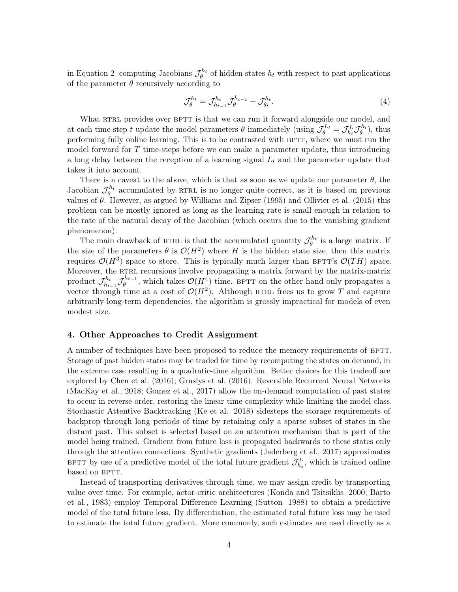in Equation [2,](#page-2-0) computing Jacobians  $\mathcal{J}_{\theta}^{h_t}$  of hidden states  $h_t$  with respect to past applications of the parameter  $\theta$  recursively according to

<span id="page-3-1"></span>
$$
\mathcal{J}_{\theta}^{h_t} = \mathcal{J}_{h_{t-1}}^{h_t} \mathcal{J}_{\theta}^{h_{t-1}} + \mathcal{J}_{\theta_t}^{h_t}.
$$
\n
$$
\tag{4}
$$

What RTRL provides over BPTT is that we can run it forward alongside our model, and at each time-step t update the model parameters  $\theta$  immediately (using  $\mathcal{J}_{\theta}^{L_t} = \mathcal{J}_{h_t}^L \mathcal{J}_{\theta}^{h_t}$ ), thus performing fully online learning. This is to be contrasted with BPTT, where we must run the model forward for  $T$  time-steps before we can make a parameter update, thus introducing a long delay between the reception of a learning signal  $L_t$  and the parameter update that takes it into account.

There is a caveat to the above, which is that as soon as we update our parameter  $\theta$ , the Jacobian  $\mathcal{J}_{\theta}^{h_t}$  accumulated by RTRL is no longer quite correct, as it is based on previous values of  $\theta$ . However, as argued by [Williams and Zipser](#page-36-5) [\(1995\)](#page-36-5) and [Ollivier et al.](#page-35-4) [\(2015\)](#page-35-4) this problem can be mostly ignored as long as the learning rate is small enough in relation to the rate of the natural decay of the Jacobian (which occurs due to the vanishing gradient phenomenon).

The main drawback of RTRL is that the accumulated quantity  $\mathcal{J}_{\theta}^{h_t}$  is a large matrix. If the size of the parameters  $\theta$  is  $\mathcal{O}(H^2)$  where H is the hidden state size, then this matrix requires  $\mathcal{O}(H^3)$  space to store. This is typically much larger than BPTT's  $\mathcal{O}(TH)$  space. Moreover, the RTRL recursions involve propagating a matrix forward by the matrix-matrix product  $\mathcal{J}_{h_1}^{h_t}$  $\mathcal{J}_{h_{t-1}}^{h_{t}}\mathcal{J}_{\theta}^{h_{t-1}}$  $\mathcal{O}(H^4)$  time. BPTT on the other hand only propagates a vector through time at a cost of  $\mathcal{O}(H^2)$ . Although RTRL frees us to grow T and capture arbitrarily-long-term dependencies, the algorithm is grossly impractical for models of even modest size.

## <span id="page-3-0"></span>4. Other Approaches to Credit Assignment

A number of techniques have been proposed to reduce the memory requirements of BPTT. Storage of past hidden states may be traded for time by recomputing the states on demand, in the extreme case resulting in a quadratic-time algorithm. Better choices for this tradeoff are explored by [Chen et al.](#page-34-2) [\(2016\)](#page-34-2); [Gruslys et al.](#page-34-3) [\(2016\)](#page-34-3). Reversible Recurrent Neural Networks [\(MacKay et al., 2018;](#page-35-5) [Gomez et al., 2017\)](#page-34-4) allow the on-demand computation of past states to occur in reverse order, restoring the linear time complexity while limiting the model class. Stochastic Attentive Backtracking [\(Ke et al., 2018\)](#page-35-6) sidesteps the storage requirements of backprop through long periods of time by retaining only a sparse subset of states in the distant past. This subset is selected based on an attention mechanism that is part of the model being trained. Gradient from future loss is propagated backwards to these states only through the attention connections. Synthetic gradients [\(Jaderberg et al., 2017\)](#page-35-7) approximates BPTT by use of a predictive model of the total future gradient  $\mathcal{J}_{h_s}^L$ , which is trained online based on BPTT.

Instead of transporting derivatives through time, we may assign credit by transporting value over time. For example, actor-critic architectures [\(Konda and Tsitsiklis, 2000;](#page-35-8) [Barto](#page-34-5) [et al., 1983\)](#page-34-5) employ Temporal Difference Learning [\(Sutton, 1988\)](#page-36-6) to obtain a predictive model of the total future loss. By differentiation, the estimated total future loss may be used to estimate the total future gradient. More commonly, such estimates are used directly as a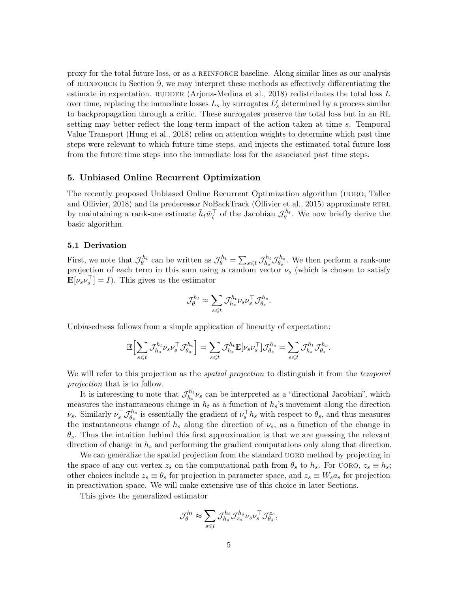proxy for the total future loss, or as a reinforce baseline. Along similar lines as our analysis of reinforce in Section [9,](#page-19-0) we may interpret these methods as effectively differentiating the estimate in expectation. RUDDER [\(Arjona-Medina et al., 2018\)](#page-34-6) redistributes the total loss  $L$ over time, replacing the immediate losses  $L_s$  by surrogates  $L'_s$  determined by a process similar to backpropagation through a critic. These surrogates preserve the total loss but in an RL setting may better reflect the long-term impact of the action taken at time s. Temporal Value Transport [\(Hung et al., 2018\)](#page-35-9) relies on attention weights to determine which past time steps were relevant to which future time steps, and injects the estimated total future loss from the future time steps into the immediate loss for the associated past time steps.

#### <span id="page-4-0"></span>5. Unbiased Online Recurrent Optimization

The recently proposed Unbiased Online Recurrent Optimization algorithm (uoro; [Tallec](#page-36-0) [and Ollivier, 2018\)](#page-36-0) and its predecessor NoBackTrack [\(Ollivier et al., 2015\)](#page-35-4) approximate RTRL by maintaining a rank-one estimate  $\tilde{h}_t \tilde{w}_t^{\top}$  of the Jacobian  $\mathcal{J}_{\theta}^{h_t}$ . We now briefly derive the basic algorithm.

#### <span id="page-4-1"></span>5.1 Derivation

First, we note that  $\mathcal{J}_{\theta}^{h_t}$  can be written as  $\mathcal{J}_{\theta}^{h_t} = \sum_{s \leq t} \mathcal{J}_{h_s}^{h_t}$  $\mathcal{J}_{h_s}^{h_t}\mathcal{J}_{\theta_s}^{h_s}$  $\theta_s^{h_s}$ . We then perform a rank-one projection of each term in this sum using a random vector  $\nu_s$  (which is chosen to satisfy  $\mathbb{E}[\nu_s \nu_s^{\top}] = I$ . This gives us the estimator

$$
\mathcal{J}_{\theta}^{h_t} \approx \sum_{s \leq t} \mathcal{J}_{h_s}^{h_t} \nu_s \nu_s^{\top} \mathcal{J}_{\theta_s}^{h_s}.
$$

Unbiasedness follows from a simple application of linearity of expectation:

$$
\mathbb{E}\Bigl[\sum_{s\leqslant t}\mathcal{J}_{h_s}^{h_t}\nu_s\nu_s^\top\mathcal{J}_{\theta_s}^{h_s}\Bigr]=\sum_{s\leqslant t}\mathcal{J}_{h_s}^{h_t}\mathbb{E}[\nu_s\nu_s^\top]\mathcal{J}_{\theta_s}^{h_s}=\sum_{s\leqslant t}\mathcal{J}_{h_s}^{h_t}\mathcal{J}_{\theta_s}^{h_s}.
$$

We will refer to this projection as the *spatial projection* to distinguish it from the *temporal* projection that is to follow.

It is interesting to note that  $\mathcal{J}_{h}^{h_t}$  $h_s^{h_t} \nu_s$  can be interpreted as a "directional Jacobian", which measures the instantaneous change in  $h_t$  as a function of  $h_s$ 's movement along the direction ν<sub>s</sub>. Similarly  $\nu_s^{\top} \mathcal{J}_{\theta_s}^{h_s}$  $\theta_s^{h_s}$  is essentially the gradient of  $\nu_s^{\top} h_s$  with respect to  $\theta_s$ , and thus measures the instantaneous change of  $h_s$  along the direction of  $\nu_s$ , as a function of the change in  $\theta_s$ . Thus the intuition behind this first approximation is that we are guessing the relevant direction of change in  $h_s$  and performing the gradient computations only along that direction.

We can generalize the spatial projection from the standard uoro method by projecting in the space of any cut vertex  $z_s$  on the computational path from  $\theta_s$  to  $h_s$ . For UORO,  $z_s \equiv h_s$ ; other choices include  $z_s \equiv \theta_s$  for projection in parameter space, and  $z_s \equiv W_s a_s$  for projection in preactivation space. We will make extensive use of this choice in later Sections.

This gives the generalized estimator

$$
\mathcal{J}_{\theta}^{h_t} \approx \sum_{s \leqslant t} \mathcal{J}_{h_s}^{h_t} \mathcal{J}_{z_s}^{h_s} \nu_s \nu_s^\top \mathcal{J}_{\theta_s}^{z_s},
$$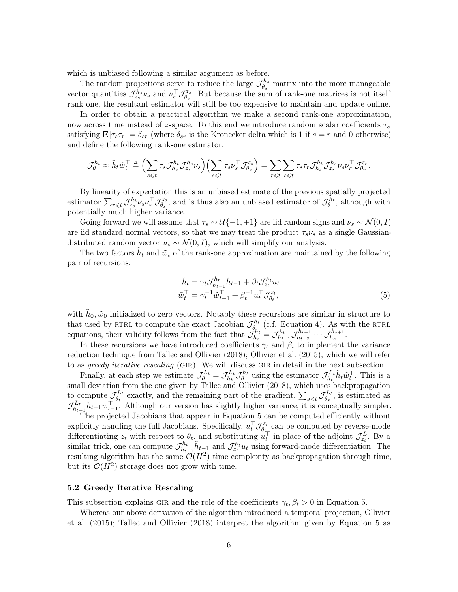which is unbiased following a similar argument as before.

The random projections serve to reduce the large  $\mathcal{J}_A^{h_s}$  $\theta_s^{h_s}$  matrix into the more manageable vector quantities  $\mathcal{J}_{z_s}^{h_s}\nu_s$  and  $\nu_s^{\top}\mathcal{J}_{\theta_s}^{z_s}$  $\theta_s^{zs}$ . But because the sum of rank-one matrices is not itself rank one, the resultant estimator will still be too expensive to maintain and update online.

In order to obtain a practical algorithm we make a second rank-one approximation, now across time instead of z-space. To this end we introduce random scalar coefficients  $\tau_s$ satisfying  $\mathbb{E}[\tau_s \tau_r] = \delta_{sr}$  (where  $\delta_{sr}$  is the Kronecker delta which is 1 if  $s = r$  and 0 otherwise) and define the following rank-one estimator:

$$
\mathcal{J}_{\theta}^{h_t} \approx \tilde{h}_t \tilde{w}_t^{\top} \triangleq \Bigl(\sum_{s \leq t} \tau_s \mathcal{J}_{h_s}^{h_t} \mathcal{J}_{z_s}^{h_s} \nu_s \Bigr) \Bigl(\sum_{s \leq t} \tau_s \nu_s^{\top} \mathcal{J}_{\theta_s}^{z_s} \Bigr) = \sum_{r \leq t} \sum_{s \leq t} \tau_s \tau_r \mathcal{J}_{h_s}^{h_t} \mathcal{J}_{z_s}^{h_s} \nu_s \nu_r^{\top} \mathcal{J}_{\theta_r}^{z_r}.
$$

By linearity of expectation this is an unbiased estimate of the previous spatially projected estimator  $\sum_{r \leqslant t} \mathcal{J}^{h_t}_{z_s} \nu_s \nu_s^{\top} \mathcal{J}^{z_s}_{\theta_s}$  $\mathcal{J}_{\theta_s}^{z_s}$ , and is thus also an unbiased estimator of  $\mathcal{J}_{\theta}^{h_t}$ , although with potentially much higher variance.

Going forward we will assume that  $\tau_s \sim \mathcal{U}\{-1,+1\}$  are iid random signs and  $\nu_s \sim \mathcal{N}(0,I)$ are iid standard normal vectors, so that we may treat the product  $\tau_s \nu_s$  as a single Gaussiandistributed random vector  $u_s \sim \mathcal{N}(0, I)$ , which will simplify our analysis.

The two factors  $\tilde{h}_t$  and  $\tilde{w}_t$  of the rank-one approximation are maintained by the following pair of recursions:

<span id="page-5-0"></span>
$$
\tilde{h}_t = \gamma_t \mathcal{J}_{h_{t-1}}^{h_t} \tilde{h}_{t-1} + \beta_t \mathcal{J}_{z_t}^{h_t} u_t
$$
\n
$$
\tilde{w}_t^\top = \gamma_t^{-1} \tilde{w}_{t-1}^\top + \beta_t^{-1} u_t^\top \mathcal{J}_{\theta_t}^{z_t},
$$
\n(5)

with  $\tilde{h}_0, \tilde{w}_0$  initialized to zero vectors. Notably these recursions are similar in structure to that used by RTRL to compute the exact Jacobian  $\mathcal{J}_{\theta_{i}}^{h_{t}}$  (c.f. Equation [4\)](#page-3-1). As with the RTRL equations, their validity follows from the fact that  $\mathcal{J}_h^{h_t}$  $\tilde{h}_{h_s}^{h_t} = \mathcal{J}_{h_t}^{h_t}$  $\frac{h_t}{h_{t-1}} \mathcal{J}_{h_{t-2}}^{h_{t-1}}$  $\tau^{h_{t-1}}_{h_{t-2}} \cdots \mathcal{J}^{h_{s+1}}_{h_{s}}.$ 

In these recursions we have introduced coefficients  $\gamma_t$  and  $\beta_t$  to implement the variance reduction technique from [Tallec and Ollivier](#page-36-0) [\(2018\)](#page-36-0); [Ollivier et al.](#page-35-4) [\(2015\)](#page-35-4), which we will refer to as *greedy iterative rescaling* (GIR). We will discuss GIR in detail in the next subsection.

Finally, at each step we estimate  $\mathcal{J}_{\theta}^{L_t} = \mathcal{J}_{h_t}^{L_t}$  $\mathcal{J}_{h_t}^{L_t} \mathcal{J}_{\theta}^{h_t}$  using the estimator  $\mathcal{J}_{h_t}^{L_t}$  $\tilde{h}_t \tilde{h}_t \tilde{w}_t^{\top}$ . This is a small deviation from the one given by [Tallec and Ollivier](#page-36-0) [\(2018\)](#page-36-0), which uses backpropagation to compute  $\mathcal{J}_{{\theta}_{\tau}}^{L_t}$  $\epsilon_{\theta_t}^{L_t}$  exactly, and the remaining part of the gradient,  $\sum_{s \leq t} \mathcal{J}_{\theta_s}^{L_t}$  $\theta_s^{L_t}$ , is estimated as  $\mathcal{J}_h^{L_t}$  $\tilde{h}_{h-1}^L \tilde{h}_{t-1} \tilde{w}_{t-1}^{\top}$ . Although our version has slightly higher variance, it is conceptually simpler.

The projected Jacobians that appear in Equation [5](#page-5-0) can be computed efficiently without explicitly handling the full Jacobians. Specifically,  $u_t^\top \mathcal{J}_{\theta_t}^{z_t}$  $\theta_{t_{+}}^{z_{t}}$  can be computed by reverse-mode differentiating  $z_t$  with respect to  $\theta_t$ , and substituting  $u_t^{\top}$  in place of the adjoint  $\mathcal{J}_{z_t}^L$ . By a similar trick, one can compute  $\mathcal{J}_{h_1}^{h_t}$  $\tilde{h}_{t-1}^{h_t} \tilde{h}_{t-1}$  and  $\mathcal{J}_{z_t}^{h_t} u_t$  using forward-mode differentiation. The resulting algorithm has the same  $\mathcal{O}(H^2)$  time complexity as backpropagation through time, but its  $\mathcal{O}(H^2)$  storage does not grow with time.

#### <span id="page-5-1"></span>5.2 Greedy Iterative Rescaling

This subsection explains GIR and the role of the coefficients  $\gamma_t, \beta_t > 0$  in Equation [5.](#page-5-0)

Whereas our above derivation of the algorithm introduced a temporal projection, [Ollivier](#page-35-4) [et al.](#page-35-4) [\(2015\)](#page-35-4); [Tallec and Ollivier](#page-36-0) [\(2018\)](#page-36-0) interpret the algorithm given by Equation [5](#page-5-0) as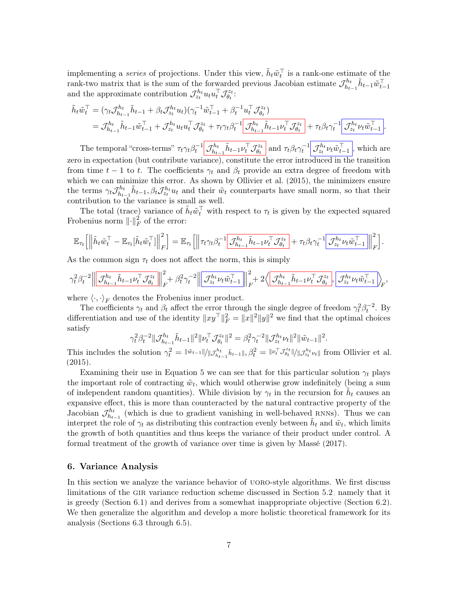implementing a *series* of projections. Under this view,  $\tilde{h}_t \tilde{w}_t^{\top}$  is a rank-one estimate of the rank-two matrix that is the sum of the forwarded previous Jacobian estimate  $\mathcal{J}_{h_1}^{h_t}$  $\tilde{h}_{t-1}^h \tilde{h}_{t-1} \tilde{w}_{t-1}^\top$ and the approximate contribution  $\mathcal{J}_{z_t}^{h_t} u_t u_t^{\top} \mathcal{J}_{\theta_t}^{z_t}$  $\overset{\text{r}z_{t}}{\theta_{t}}$  :

$$
\tilde{h}_{t}\tilde{w}_{t}^{\top} = (\gamma_{t}\mathcal{J}_{h_{t-1}}^{h_{t}}\tilde{h}_{t-1} + \beta_{t}\mathcal{J}_{z_{t}}^{h_{t}}u_{t})(\gamma_{t}^{-1}\tilde{w}_{t-1}^{\top} + \beta_{t}^{-1}u_{t}^{\top}\mathcal{J}_{\theta_{t}}^{z_{t}})\n= \mathcal{J}_{h_{t-1}}^{h_{t}}\tilde{h}_{t-1}\tilde{w}_{t-1}^{\top} + \mathcal{J}_{z_{t}}^{h_{t}}u_{t}u_{t}^{\top}\mathcal{J}_{\theta_{t}}^{z_{t}} + \tau_{t}\gamma_{t}\beta_{t}^{-1}\left[\mathcal{J}_{h_{t-1}}^{h_{t}}\tilde{h}_{t-1}\nu_{t}^{\top}\mathcal{J}_{\theta_{t}}^{z_{t}} + \tau_{t}\beta_{t}\gamma_{t}^{-1}\right]\mathcal{J}_{z_{t}}^{h_{t}}\nu_{t}\tilde{w}_{t-1}^{\top}.
$$

The temporal "cross-terms"  $\tau_t \gamma_t \beta_t^{-1} \Big| \mathcal{J}_{h_t}^{h_t}$  $\tilde{h}_{t-1}^h \tilde{h}_{t-1} \nu_t^\top \mathcal{J}_{\theta_t}^{z_t}$  $\frac{dz_t}{\theta_t}$  and  $\tau_t \beta_t \gamma_t^{-1} \Big| \mathcal{J}_{z_t}^{h_t} \nu_t \tilde{w}_{t-1}^{\top} \Big|$ , which are zero in expectation (but contribute variance), constitute the error introduced in the transition from time  $t-1$  to t. The coefficients  $\gamma_t$  and  $\beta_t$  provide an extra degree of freedom with which we can minimize this error. As shown by [Ollivier et al.](#page-35-4)  $(2015)$ , the minimizers ensure the terms  $\gamma_t \mathcal{J}_{h_t}^{h_t}$  $\tilde{h}_{h_{t-1}}^{\prime h_t}$ ,  $\tilde{h}_{t-1}$ ,  $\beta_t \mathcal{J}_{z_t}^{h_t} u_t$  and their  $\tilde{w}_t$  counterparts have small norm, so that their contribution to the variance is small as well.

The total (trace) variance of  $\tilde{h}_t \tilde{w}_t^{\top}$  with respect to  $\tau_t$  is given by the expected squared Frobenius norm  $\left\| \cdot \right\|_F^2$  of the error:

$$
\mathbb{E}_{\tau_t}\Big[\Big\|\tilde{h}_t\tilde{w}_t^\top-\mathbb{E}_{\tau_t}[\tilde{h}_t\tilde{w}_t^\top]\Big\|_F^2\Big]=\mathbb{E}_{\tau_t}\Big[\Big\|\tau_t\gamma_t\beta_t^{-1}\Big[\underline{\mathcal{J}_{h_{t-1}}^{h_t}\tilde{h}_{t-1}\nu_t^\top\mathcal{J}_{\theta_t}^{z_t}}+\tau_t\beta_t\gamma_t^{-1}\Big[\underline{\mathcal{J}_{z_t}^{h_t}\nu_t\tilde{w}_{t-1}^\top}\Big\|_F^2\Big].
$$

As the common sign  $\tau_t$  does not affect the norm, this is simply

$$
\gamma_t^2\beta_t^{-2}\Big\|\Big[\mathcal{J}_{h_{t-1}}^{h_t}\tilde{h}_{t-1}\nu_t^\top\mathcal{J}_{\theta_t}^{z_t}\Big]\Big\|^2_F+\beta_t^2\gamma_t^{-2}\Big\|\Big[\mathcal{J}_{z_t}^{h_t}\nu_t\tilde{w}_{t-1}^\top\Big]\Big\|^2_F+2\Big\langle\Big[\mathcal{J}_{h_{t-1}}^{h_t}\tilde{h}_{t-1}\nu_t^\top\mathcal{J}_{\theta_t}^{z_t}\Big],\Big[\mathcal{J}_{z_t}^{h_t}\nu_t\tilde{w}_{t-1}^\top\Big]\Big\rangle_F,
$$

where  $\langle \cdot, \cdot \rangle_F$  denotes the Frobenius inner product.

The coefficients  $\gamma_t$  and  $\beta_t$  affect the error through the single degree of freedom  $\gamma_t^2 \beta_t^{-2}$ . By differentiation and use of the identity  $||xy^{\top}||_F^2 = ||x||^2 ||y||^2$  we find that the optimal choices satisfy

$$
\gamma_t^2 \beta_t^{-2} \|\mathcal{J}_{h_{t-1}}^{h_t} \tilde{h}_{t-1} \|^2 \|\nu_t^\top \mathcal{J}_{\theta_t}^{z_t} \|^2 = \beta_t^2 \gamma_t^{-2} \|\mathcal{J}_{z_t}^{h_t} \nu_t \|^2 \|\tilde{w}_{t-1} \|^2.
$$

This includes the solution  $\gamma_t^2 = ||\tilde{w}_{t-1}|| ||\mathcal{J}_{h_{t-1}}^{h_t} \tilde{h}_{t-1}||, \beta_t^2 = ||\nu_t^{\top} \mathcal{J}_{\theta_t}^{z_t}|| / ||\mathcal{J}_{z_t}^{h_t} \nu_t||$  from [Ollivier et al.](#page-35-4)  $(2015).$  $(2015).$ 

Examining their use in Equation [5](#page-5-0) we can see that for this particular solution  $\gamma_t$  plays the important role of contracting  $\tilde{w}_t$ , which would otherwise grow indefinitely (being a sum of independent random quantities). While division by  $\gamma_t$  in the recursion for  $\tilde{h}_t$  causes an expansive effect, this is more than counteracted by the natural contractive property of the Jacobian  $\mathcal{J}_{h_t}^{h_t}$  $h_{t-1}^{h_t}$  (which is due to gradient vanishing in well-behaved RNNs). Thus we can interpret the role of  $\gamma_t$  as distributing this contraction evenly between  $\tilde{h}_t$  and  $\tilde{w}_t$ , which limits the growth of both quantities and thus keeps the variance of their product under control. A formal treatment of the growth of variance over time is given by [Massé](#page-35-10) [\(2017\)](#page-35-10).

### <span id="page-6-0"></span>6. Variance Analysis

In this section we analyze the variance behavior of UORO-style algorithms. We first discuss limitations of the GIR variance reduction scheme discussed in Section [5.2,](#page-5-1) namely that it is greedy (Section [6.1\)](#page-7-0) and derives from a somewhat inappropriate objective (Section [6.2\)](#page-7-1). We then generalize the algorithm and develop a more holistic theoretical framework for its analysis (Sections [6.3](#page-8-0) through [6.5\)](#page-10-1).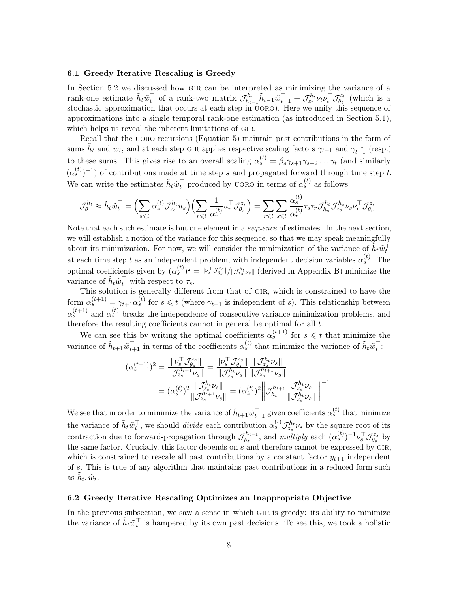### <span id="page-7-0"></span>6.1 Greedy Iterative Rescaling is Greedy

In Section [5.2](#page-5-1) we discussed how GIR can be interpreted as minimizing the variance of a rank-one estimate  $\tilde{h}_t \tilde{w}_t^{\top}$  of a rank-two matrix  $\mathcal{J}_{h_t}^{\tilde{h}_t}$  $\tau_{h_{t-1}}^{\bar{h}_t}\tilde{h}_{t-1}\tilde{w}_{t-1}^{\top}+\mathcal{J}^{h_t}_{z_t}\nu_t\bar{\nu}_t^{\top}\mathcal{J}^{z_t}_{\theta_t}$  $\theta_t^{z_t}$  (which is a stochastic approximation that occurs at each step in  $UORO$ ). Here we unify this sequence of approximations into a single temporal rank-one estimation (as introduced in Section [5.1\)](#page-4-1), which helps us reveal the inherent limitations of GIR.

Recall that the UORO recursions (Equation [5\)](#page-5-0) maintain past contributions in the form of sums  $\tilde{h}_t$  and  $\tilde{w}_t$ , and at each step GIR applies respective scaling factors  $\gamma_{t+1}$  and  $\gamma_{t+1}^{-1}$  (resp.) to these sums. This gives rise to an overall scaling  $\alpha_s^{(t)} = \beta_s \gamma_{s+1} \gamma_{s+2} \dots \gamma_t$  (and similarly  $(\alpha_s^{(t)})^{-1}$  of contributions made at time step s and propagated forward through time step t. We can write the estimates  $\tilde{h}_t \tilde{w}_t^{\top}$  produced by UORO in terms of  $\alpha_s^{(t)}$  as follows:

$$
\mathcal{J}_{\theta}^{h_t} \approx \tilde{h}_t \tilde{w}_t^{\top} = \Big( \sum_{s \leq t} \alpha_s^{(t)} \mathcal{J}_{z_s}^{h_t} u_s \Big) \Big( \sum_{r \leq t} \frac{1}{\alpha_r^{(t)}} u_r^{\top} \mathcal{J}_{\theta_r}^{z_r} \Big) = \sum_{r \leq t} \sum_{s \leq t} \frac{\alpha_s^{(t)}}{\alpha_r^{(t)}} \tau_s \tau_r \mathcal{J}_{h_s}^{h_t} \mathcal{J}_{z_s}^{h_s} \nu_s \nu_r^{\top} \mathcal{J}_{\theta_r}^{z_r}.
$$

Note that each such estimate is but one element in a *sequence* of estimates. In the next section, we will establish a notion of the variance for this sequence, so that we may speak meaningfully about its minimization. For now, we will consider the minimization of the variance of  $\tilde{h}_t \tilde{w}_t^{\dagger}$ at each time step t as an independent problem, with independent decision variables  $\alpha_s^{(t)}$ . The optimal coefficients given by  $(\alpha_s^{(t)})^2 = ||\nu_s^{\top} \mathcal{J}_{\theta_s}^{z_s}||/||\mathcal{J}_{z_s}^{h_t} \nu_s||$  (derived in Appendix [B\)](#page-1-1) minimize the variance of  $\tilde{h}_t \tilde{w}_t^{\top}$  with respect to  $\tau_s$ .

This solution is generally different from that of gir, which is constrained to have the form  $\alpha_s^{(t+1)} = \gamma_{t+1} \alpha_s^{(t)}$  for  $s \leq t$  (where  $\gamma_{t+1}$  is independent of s). This relationship between  $\alpha_s^{(t+1)}$  and  $\alpha_s^{(t)}$  breaks the independence of consecutive variance minimization problems, and therefore the resulting coefficients cannot in general be optimal for all  $t$ .

We can see this by writing the optimal coefficients  $\alpha_s^{(t+1)}$  for  $s \leq t$  that minimize the variance of  $\tilde{h}_{t+1}\tilde{w}_{t+1}^{\top}$  in terms of the coefficients  $\alpha_s^{(t)}$  that minimize the variance of  $\tilde{h}_t\tilde{w}_t^{\top}$ :

$$
(\alpha_s^{(t+1)})^2 = \frac{\|\nu_s^{\top} \mathcal{J}_{\theta_s}^{z_s}\|}{\|\mathcal{J}_{z_s}^{h_{t+1}} \nu_s\|} = \frac{\|\nu_s^{\top} \mathcal{J}_{\theta_s}^{z_s}\|}{\|\mathcal{J}_{z_s}^{h_t} \nu_s\|} \frac{\|\mathcal{J}_{z_s}^{h_t} \nu_s\|}{\|\mathcal{J}_{z_s}^{h_{t+1}} \nu_s\|} = (\alpha_s^{(t)})^2 \frac{\|\mathcal{J}_{z_s}^{h_t} \nu_s\|}{\|\mathcal{J}_{z_s}^{h_{t+1}} \nu_s\|} = (\alpha_s^{(t)})^2 \left\|\mathcal{J}_{h_t}^{h_{t+1}} \frac{\mathcal{J}_{z_s}^{h_t} \nu_s}{\|\mathcal{J}_{z_s}^{h_t} \nu_s\|}\right\|^{-1}.
$$

We see that in order to minimize the variance of  $\tilde{h}_{t+1}\tilde{w}_{t+1}^{\top}$  given coefficients  $\alpha_s^{(t)}$  that minimize the variance of  $\tilde{h}_t \tilde{w}_t^{\top}$ , we should *divide* each contribution  $\alpha_s^{(t)} \mathcal{J}_{z_s}^{h_t} \nu_s$  by the square root of its contraction due to forward-propagation through  $\mathcal{J}_{h_1}^{h_{t+1}}$  $h_{t+1}^{h_{t+1}}$ , and multiply each  $(\alpha_s^{(t)})^{-1} \nu_s^{\top} \mathcal{J}_{\theta_s}^{z_s}$  $\theta_s^{z_s}$  by the same factor. Crucially, this factor depends on  $s$  and therefore cannot be expressed by GIR, which is constrained to rescale all past contributions by a constant factor  $y_{t+1}$  independent of s. This is true of any algorithm that maintains past contributions in a reduced form such as  $\tilde{h}_t, \tilde{w}_t$ .

### <span id="page-7-1"></span>6.2 Greedy Iterative Rescaling Optimizes an Inappropriate Objective

In the previous subsection, we saw a sense in which GIR is greedy: its ability to minimize the variance of  $\tilde{h}_t \tilde{w}_t^{\top}$  is hampered by its own past decisions. To see this, we took a holistic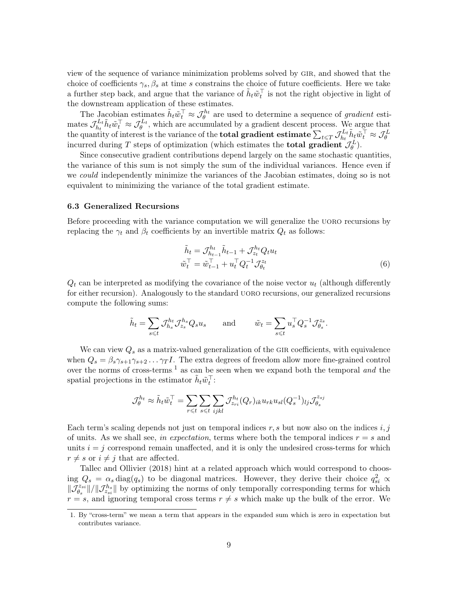view of the sequence of variance minimization problems solved by gir, and showed that the choice of coefficients  $\gamma_s$ ,  $\beta_s$  at time s constrains the choice of future coefficients. Here we take a further step back, and argue that the variance of  $\tilde{h}_t \tilde{w}_t^{\top}$  is not the right objective in light of the downstream application of these estimates.

The Jacobian estimates  $\tilde{h}_t \tilde{w}_t^{\top} \approx \mathcal{J}_{\theta}^{h_t}$  are used to determine a sequence of gradient esti-The Jacobian estimates  $n_t w_t \sim U_\theta$ <br>mates  $\mathcal{J}_{h}^{L_t} \tilde{h}_t \tilde{w}_t^{\top} \approx \mathcal{J}_\theta^{L_t}$ , which are accur $t_{h_t}^{L_t} \tilde{h}_t \tilde{w}_t^{\top} \approx \mathcal{J}_{\theta}^{L_t}$ , which are accumulated by a gradient descent process. We argue that the quantity of interest is the variance of the **total gradient estimate**  $\sum_{t \leq T} \mathcal{J}_{h_t}^{L_t}$  $\tilde{h}_t \tilde{h}_t \tilde{w}_t^\top \approx \mathcal{J}_{\theta}^L$ incurred during T steps of optimization (which estimates the **total gradient**  $\mathcal{J}_{\theta}^{L}$ ).

Since consecutive gradient contributions depend largely on the same stochastic quantities, the variance of this sum is not simply the sum of the individual variances. Hence even if we could independently minimize the variances of the Jacobian estimates, doing so is not equivalent to minimizing the variance of the total gradient estimate.

#### <span id="page-8-0"></span>6.3 Generalized Recursions

Before proceeding with the variance computation we will generalize the uoro recursions by replacing the  $\gamma_t$  and  $\beta_t$  coefficients by an invertible matrix  $Q_t$  as follows:

<span id="page-8-2"></span>
$$
\tilde{h}_t = \mathcal{J}_{h_{t-1}}^{h_t} \tilde{h}_{t-1} + \mathcal{J}_{z_t}^{h_t} Q_t u_t \n\tilde{w}_t^\top = \tilde{w}_{t-1}^\top + u_t^\top Q_t^{-1} \mathcal{J}_{\theta_t}^{z_t}
$$
\n(6)

 $Q_t$  can be interpreted as modifying the covariance of the noise vector  $u_t$  (although differently for either recursion). Analogously to the standard uoro recursions, our generalized recursions compute the following sums:

$$
\tilde{h}_t = \sum_{s \leq t} \mathcal{J}_{h_s}^{h_t} \mathcal{J}_{z_s}^{h_s} Q_s u_s \quad \text{and} \quad \tilde{w}_t = \sum_{s \leq t} u_s^\top Q_s^{-1} \mathcal{J}_{\theta_s}^{z_s}.
$$

We can view  $Q_s$  as a matrix-valued generalization of the GIR coefficients, with equivalence when  $Q_s = \beta_s \gamma_{s+1} \gamma_{s+2} \dots \gamma_T I$ . The extra degrees of freedom allow more fine-grained control over the norms of cross-terms,<sup>[1](#page-8-1)</sup> as can be seen when we expand both the temporal and the spatial projections in the estimator  $\tilde{h}_t \tilde{w}_t^{\top}$ :

$$
\mathcal{J}_{\theta}^{h_t} \approx \tilde{h}_t \tilde{w}_t^\top = \sum_{r \leqslant t} \sum_{s \leqslant t} \sum_{ijkl} \mathcal{J}_{z_{ri}}^{h_t}(Q_r)_{ik} u_{rk} u_{sl}(Q_s^{-1})_{lj} \mathcal{J}_{\theta_s}^{z_{sj}}
$$

Each term's scaling depends not just on temporal indices  $r, s$  but now also on the indices  $i, j$ of units. As we shall see, in expectation, terms where both the temporal indices  $r = s$  and units  $i = j$  correspond remain unaffected, and it is only the undesired cross-terms for which  $r \neq s$  or  $i \neq j$  that are affected.

[Tallec and Ollivier](#page-36-0) [\(2018\)](#page-36-0) hint at a related approach which would correspond to choosing  $Q_s = \alpha_s \text{diag}(q_s)$  to be diagonal matrices. However, they derive their choice  $q_{si}^2 \propto$  $\|\tilde{\mathcal{J}}_{\theta_{s}}^{z_{si}}\|/\|\mathcal{J}_{z_{si}}^{h_{s}}\|$  by optimizing the norms of only temporally corresponding terms for which  $r = s$ , and ignoring temporal cross terms  $r \neq s$  which make up the bulk of the error. We

<span id="page-8-1"></span><sup>1.</sup> By "cross-term" we mean a term that appears in the expanded sum which is zero in expectation but contributes variance.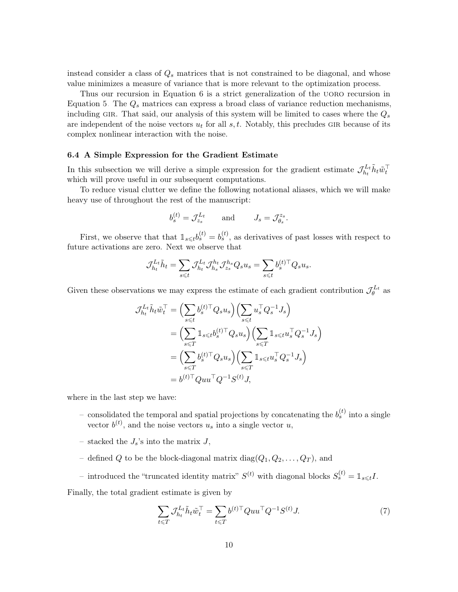instead consider a class of  $Q_s$  matrices that is not constrained to be diagonal, and whose value minimizes a measure of variance that is more relevant to the optimization process.

Thus our recursion in Equation [6](#page-8-2) is a strict generalization of the uoro recursion in Equation [5.](#page-5-0) The  $Q_s$  matrices can express a broad class of variance reduction mechanisms, including GIR. That said, our analysis of this system will be limited to cases where the  $Q_s$ are independent of the noise vectors  $u_t$  for all  $s, t$ . Notably, this precludes GIR because of its complex nonlinear interaction with the noise.

#### <span id="page-9-0"></span>6.4 A Simple Expression for the Gradient Estimate

In this subsection we will derive a simple expression for the gradient estimate  $\mathcal{J}_{h_1}^{L_t}$  $\tilde{h}_t^L \tilde{h}_t \tilde{w}_t^\top$ which will prove useful in our subsequent computations.

To reduce visual clutter we define the following notational aliases, which we will make heavy use of throughout the rest of the manuscript:

$$
b_s^{(t)} = \mathcal{J}_{z_s}^{L_t} \quad \text{and} \quad J_s = \mathcal{J}_{\theta_s}^{z_s}.
$$

First, we observe that that  $\mathbb{1}_{s \leq t} b_s^{(t)} = b_s^{(t)}$ , as derivatives of past losses with respect to future activations are zero. Next we observe that

$$
\mathcal{J}_{h_t}^{L_t} \tilde{h}_t = \sum_{s \leqslant t} \mathcal{J}_{h_t}^{L_t} \mathcal{J}_{h_s}^{h_t} \mathcal{J}_{z_s}^{h_s} Q_s u_s = \sum_{s \leqslant t} b_s^{(t)\top} Q_s u_s.
$$

Given these observations we may express the estimate of each gradient contribution  $\mathcal{J}_{\theta}^{L_t}$  as

$$
\mathcal{J}_{h_t}^{L_t} \tilde{h}_t \tilde{w}_t^{\top} = \left( \sum_{s \leq t} b_s^{(t)\top} Q_s u_s \right) \left( \sum_{s \leq t} u_s^{\top} Q_s^{-1} J_s \right)
$$
  
\n
$$
= \left( \sum_{s \leq T} \mathbb{1}_{s \leq t} b_s^{(t)\top} Q_s u_s \right) \left( \sum_{s \leq T} \mathbb{1}_{s \leq t} u_s^{\top} Q_s^{-1} J_s \right)
$$
  
\n
$$
= \left( \sum_{s \leq T} b_s^{(t)\top} Q_s u_s \right) \left( \sum_{s \leq T} \mathbb{1}_{s \leq t} u_s^{\top} Q_s^{-1} J_s \right)
$$
  
\n
$$
= b^{(t)\top} Q u u^{\top} Q^{-1} S^{(t)} J,
$$

where in the last step we have:

- consolidated the temporal and spatial projections by concatenating the  $b_s^{(t)}$  into a single vector  $b^{(t)}$ , and the noise vectors  $u_s$  into a single vector  $u$ ,
- stacked the  $J_s$ 's into the matrix  $J$ ,
- defined Q to be the block-diagonal matrix  $diag(Q_1, Q_2, \ldots, Q_T)$ , and
- introduced the "truncated identity matrix"  $S^{(t)}$  with diagonal blocks  $S_s^{(t)} = \mathbb{1}_{s \leq t} I$ .

Finally, the total gradient estimate is given by

<span id="page-9-1"></span>
$$
\sum_{t \leq T} \mathcal{J}_{h_t}^{L_t} \tilde{h}_t \tilde{w}_t^{\top} = \sum_{t \leq T} b^{(t)\top} Q u u^{\top} Q^{-1} S^{(t)} J. \tag{7}
$$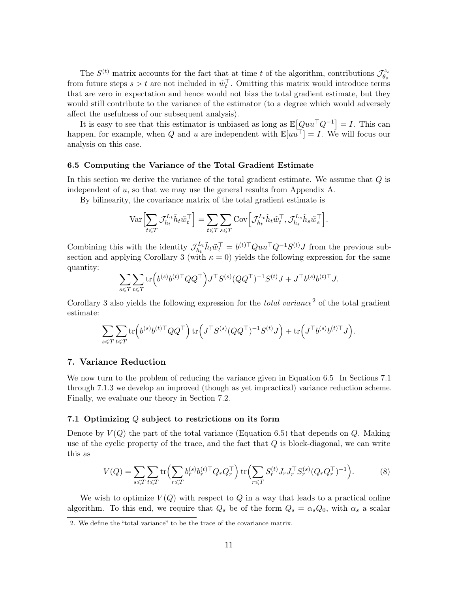The  $S^{(t)}$  matrix accounts for the fact that at time t of the algorithm, contributions  $\mathcal{J}_{\theta}^{z_s}$  $\theta_s$ from future steps  $s > t$  are not included in  $\tilde{w}_t^{\top}$ . Omitting this matrix would introduce terms that are zero in expectation and hence would not bias the total gradient estimate, but they would still contribute to the variance of the estimator (to a degree which would adversely affect the usefulness of our subsequent analysis).

It is easy to see that this estimator is unbiased as long as  $\mathbb{E}[Quu<sup>T</sup>Q<sup>-1</sup>] = I$ . This can happen, for example, when Q and u are independent with  $\mathbb{E}[uu^{\top}] = I$ . We will focus our analysis on this case.

#### <span id="page-10-1"></span>6.5 Computing the Variance of the Total Gradient Estimate

In this section we derive the variance of the total gradient estimate. We assume that Q is independent of  $u$ , so that we may use the general results from Appendix [A.](#page-0-0)

By bilinearity, the covariance matrix of the total gradient estimate is

$$
\text{Var}\Bigl[\sum_{t\leqslant T}\mathcal{J}_{h_t}^{L_t}\tilde{h}_t\tilde{w}_t^\top\Bigr]=\sum_{t\leqslant T}\sum_{s\leqslant T}\text{Cov}\Bigl[\mathcal{J}_{h_t}^{L_t}\tilde{h}_t\tilde{w}_t^\top,\mathcal{J}_{h_s}^{L_s}\tilde{h}_s\tilde{w}_s^\top\Bigr].
$$

Combining this with the identity  $\mathcal{J}_{h}^{L_t}$  $t_{h_t}^{L_t} \tilde{h}_t \tilde{w}_t^{\top} = b^{(t)\top} Q u u^{\top} Q^{-1} S^{(t)} J$  from the previous sub-section and applying Corollary [3](#page-23-0) (with  $\kappa = 0$ ) yields the following expression for the same quantity:

$$
\sum_{s\leqslant T}\sum_{t\leqslant T}\text{tr}\Big(b^{(s)}b^{(t)\top}QQ^\top\Big)J^\top S^{(s)}(QQ^\top)^{-1}S^{(t)}J + J^\top b^{(s)}b^{(t)\top}J.
$$

Corollary [3](#page-23-0) also yields the following expression for the *total variance*<sup>[2](#page-10-3)</sup> of the total gradient estimate:

$$
\sum_{s\leqslant T}\sum_{t\leqslant T}\mathrm{tr}\Big(b^{(s)}b^{(t)\top}QQ^\top\Big)\,\mathrm{tr}\Big(J^\top S^{(s)}(QQ^\top)^{-1}S^{(t)}J\Big)+\mathrm{tr}\Big(J^\top b^{(s)}b^{(t)\top}J\Big).
$$

# <span id="page-10-0"></span>7. Variance Reduction

We now turn to the problem of reducing the variance given in Equation [6.5.](#page-10-1) In Sections [7.1](#page-10-2) through [7.1.3](#page-13-0) we develop an improved (though as yet impractical) variance reduction scheme. Finally, we evaluate our theory in Section [7.2.](#page-14-0)

### <span id="page-10-2"></span>7.1 Optimizing Q subject to restrictions on its form

Denote by  $V(Q)$  the part of the total variance (Equation [6.5\)](#page-10-1) that depends on Q. Making use of the cyclic property of the trace, and the fact that  $Q$  is block-diagonal, we can write this as

$$
V(Q) = \sum_{s \leq T} \sum_{t \leq T} \text{tr} \Big( \sum_{r \leq T} b_r^{(s)} b_r^{(t) \top} Q_r Q_r^{\top} \Big) \, \text{tr} \Big( \sum_{r \leq T} S_r^{(t)} J_r J_r^{\top} S_r^{(s)} (Q_r Q_r^{\top})^{-1} \Big). \tag{8}
$$

We wish to optimize  $V(Q)$  with respect to Q in a way that leads to a practical online algorithm. To this end, we require that  $Q_s$  be of the form  $Q_s = \alpha_s Q_0$ , with  $\alpha_s$  a scalar

<span id="page-10-3"></span><sup>2.</sup> We define the "total variance" to be the trace of the covariance matrix.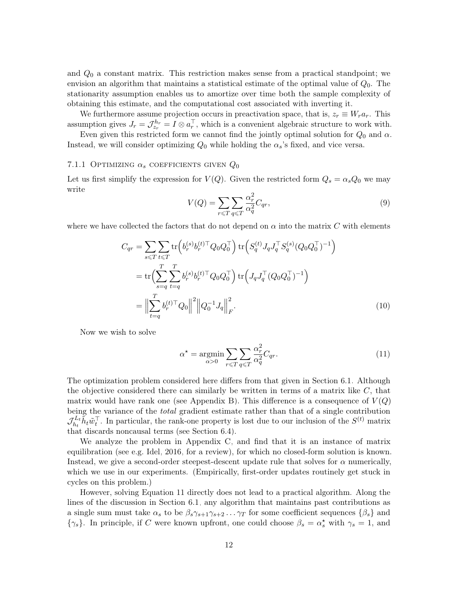and  $Q_0$  a constant matrix. This restriction makes sense from a practical standpoint; we envision an algorithm that maintains a statistical estimate of the optimal value of  $Q_0$ . The stationarity assumption enables us to amortize over time both the sample complexity of obtaining this estimate, and the computational cost associated with inverting it.

We furthermore assume projection occurs in preactivation space, that is,  $z_r \equiv W_r a_r$ . This assumption gives  $J_r = \mathcal{J}_{z_r}^{h_r} = I \otimes a_r^{\top}$ , which is a convenient algebraic structure to work with.

Even given this restricted form we cannot find the jointly optimal solution for  $Q_0$  and  $\alpha$ . Instead, we will consider optimizing  $Q_0$  while holding the  $\alpha_s$ 's fixed, and vice versa.

### <span id="page-11-1"></span>7.1.1 OPTIMIZING  $\alpha_s$  coefficients given  $Q_0$

Let us first simplify the expression for  $V(Q)$ . Given the restricted form  $Q_s = \alpha_s Q_0$  we may write

$$
V(Q) = \sum_{r \le T} \sum_{q \le T} \frac{\alpha_r^2}{\alpha_q^2} C_{qr},\tag{9}
$$

where we have collected the factors that do not depend on  $\alpha$  into the matrix C with elements

$$
C_{qr} = \sum_{s \le T} \sum_{t \le T} \text{tr} \left( b_r^{(s)} b_r^{(t) \top} Q_0 Q_0^{\top} \right) \text{tr} \left( S_q^{(t)} J_q J_q^{\top} S_q^{(s)} (Q_0 Q_0^{\top})^{-1} \right)
$$
  
= 
$$
\text{tr} \left( \sum_{s=q}^T \sum_{t=q}^T b_r^{(s)} b_r^{(t) \top} Q_0 Q_0^{\top} \right) \text{tr} \left( J_q J_q^{\top} (Q_0 Q_0^{\top})^{-1} \right)
$$
  
= 
$$
\Big\| \sum_{t=q}^T b_r^{(t) \top} Q_0 \Big\|^2 \Big\| Q_0^{-1} J_q \Big\|_F^2.
$$
 (10)

Now we wish to solve

<span id="page-11-0"></span>
$$
\alpha^* = \underset{\alpha>0}{\text{argmin}} \sum_{r \leq T} \sum_{q \leq T} \frac{\alpha_r^2}{\alpha_q^2} C_{qr}.
$$
\n(11)

The optimization problem considered here differs from that given in Section [6.1.](#page-7-0) Although the objective considered there can similarly be written in terms of a matrix like  $C$ , that matrix would have rank one (see Appendix [B\)](#page-1-1). This difference is a consequence of  $V(Q)$ being the variance of the *total* gradient estimate rather than that of a single contribution  $\mathcal{J}_{h_1}^{L_t}$  $\tilde{h}^L_t \tilde{h}_t \tilde{w}_t^{\top}$ . In particular, the rank-one property is lost due to our inclusion of the  $S^{(t)}$  matrix that discards noncausal terms (see Section [6.4\)](#page-9-0).

We analyze the problem in Appendix [C,](#page-1-0) and find that it is an instance of matrix equilibration (see e.g. [Idel, 2016,](#page-35-11) for a review), for which no closed-form solution is known. Instead, we give a second-order steepest-descent update rule that solves for  $\alpha$  numerically, which we use in our experiments. (Empirically, first-order updates routinely get stuck in cycles on this problem.)

However, solving Equation [11](#page-11-0) directly does not lead to a practical algorithm. Along the lines of the discussion in Section [6.1,](#page-7-0) any algorithm that maintains past contributions as a single sum must take  $\alpha_s$  to be  $\beta_s \gamma_{s+1} \gamma_{s+2} \dots \gamma_T$  for some coefficient sequences  $\{\beta_s\}$  and  $\{\gamma_s\}$ . In principle, if C were known upfront, one could choose  $\beta_s = \alpha_s^*$  with  $\gamma_s = 1$ , and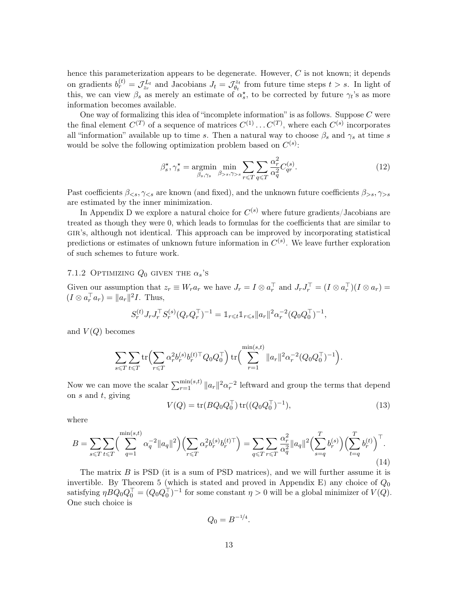hence this parameterization appears to be degenerate. However,  $C$  is not known; it depends on gradients  $b_r^{(t)} = \mathcal{J}_{z_r}^{L_t}$  and Jacobians  $J_t = \mathcal{J}_{\theta_t}^{z_t}$  $\theta_t^{z_t}$  from future time steps  $t > s$ . In light of this, we can view  $\beta_s$  as merely an estimate of  $\alpha_s^*$ , to be corrected by future  $\gamma_t$ 's as more information becomes available.

One way of formalizing this idea of "incomplete information" is as follows. Suppose  $C$  were the final element  $C^{(T)}$  of a sequence of matrices  $C^{(1)} \dots C^{(T)}$ , where each  $C^{(s)}$  incorporates all "information" available up to time s. Then a natural way to choose  $\beta_s$  and  $\gamma_s$  at time s would be solve the following optimization problem based on  $C^{(s)}$ :

<span id="page-12-2"></span>
$$
\beta_s^\star, \gamma_s^\star = \underset{\beta_s, \gamma_s}{\text{argmin}} \underset{\beta>s, \gamma>s}{\text{min}} \sum_{r \le T} \sum_{q \le T} \frac{\alpha_r^2}{\alpha_q^2} C_{qr}^{(s)}.
$$
\n(12)

Past coefficients  $\beta_{\leq s}, \gamma_{\leq s}$  are known (and fixed), and the unknown future coefficients  $\beta_{>s}, \gamma_{>s}$ are estimated by the inner minimization.

In Appendix [D](#page-3-0) we explore a natural choice for  $C^{(s)}$  where future gradients/Jacobians are treated as though they were 0, which leads to formulas for the coefficients that are similar to gir's, although not identical. This approach can be improved by incorporating statistical predictions or estimates of unknown future information in  $C^{(s)}$ . We leave further exploration of such schemes to future work.

### <span id="page-12-0"></span>7.1.2 OPTIMIZING  $Q_0$  given the  $\alpha_s$ 's

Given our assumption that  $z_r \equiv W_r a_r$  we have  $J_r = I \otimes a_r^{\top}$  and  $J_r J_r^{\top} = (I \otimes a_r^{\top})(I \otimes a_r) =$  $(I \otimes a_r^{\top} a_r) = ||a_r||^2 I$ . Thus,

$$
S_r^{(t)} J_r J_r^\top S_r^{(s)} (Q_r Q_r^\top)^{-1} = \mathbb{1}_{r \leq t} \mathbb{1}_{r \leq s} \|a_r\|^2 \alpha_r^{-2} (Q_0 Q_0^\top)^{-1},
$$

and  $V(Q)$  becomes

$$
\sum_{s \leq T} \sum_{t \leq T} \text{tr} \Big( \sum_{r \leq T} \alpha_r^2 b_r^{(s)} b_r^{(t) \top} Q_0 Q_0^{\top} \Big) \, \text{tr} \Big( \sum_{r=1}^{\min(s,t)} \|a_r\|^2 \alpha_r^{-2} (Q_0 Q_0^{\top})^{-1} \Big).
$$

Now we can move the scalar  $\sum_{r=1}^{\min(s,t)} \|a_r\|^2 \alpha_r^{-2}$  leftward and group the terms that depend on  $s$  and  $t$ , giving

<span id="page-12-1"></span>
$$
V(Q) = \text{tr}(BQ_0 Q_0^{\top}) \text{tr}((Q_0 Q_0^{\top})^{-1}), \tag{13}
$$

<span id="page-12-3"></span>where

$$
B = \sum_{s \leq T} \sum_{t \leq T} \left( \sum_{q=1}^{\min(s,t)} \alpha_q^{-2} \|a_q\|^2 \right) \left( \sum_{r \leq T} \alpha_r^2 b_r^{(s)} b_r^{(t)\top} \right) = \sum_{q \leq T} \sum_{r \leq T} \frac{\alpha_r^2}{\alpha_q^2} \|a_q\|^2 \left( \sum_{s=q}^T b_r^{(s)} \right) \left( \sum_{t=q}^T b_r^{(t)} \right)^\top. \tag{14}
$$

The matrix  $B$  is PSD (it is a sum of PSD matrices), and we will further assume it is invertible. By Theorem [5](#page-28-0) (which is stated and proved in Appendix [E\)](#page-4-0) any choice of  $Q_0$ satisfying  $\eta B Q_0 Q_0^{\top} = (Q_0 Q_0^{\top})^{-1}$  for some constant  $\eta > 0$  will be a global minimizer of  $V(Q)$ . One such choice is

$$
Q_0 = B^{-1/4}.
$$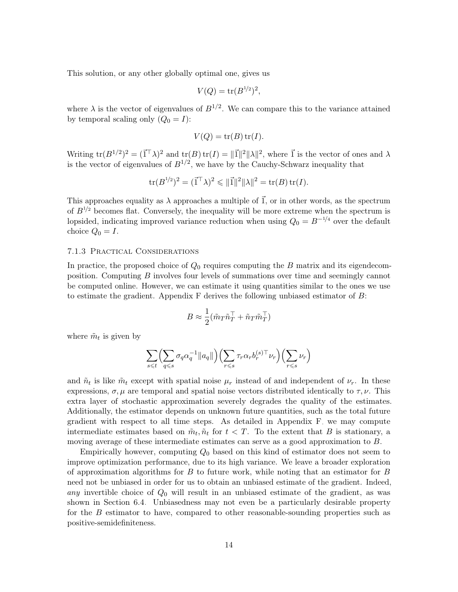This solution, or any other globally optimal one, gives us

$$
V(Q) = \text{tr}(B^{1/2})^2,
$$

where  $\lambda$  is the vector of eigenvalues of  $B^{1/2}$ . We can compare this to the variance attained by temporal scaling only  $(Q_0 = I)$ :

$$
V(Q) = \operatorname{tr}(B)\operatorname{tr}(I).
$$

Writing  $tr(B^{1/2})^2 = (\vec{1}^\top \lambda)^2$  and  $tr(B) tr(I) = ||\vec{1}||^2 ||\lambda||^2$ , where  $\vec{1}$  is the vector of ones and  $\lambda$ is the vector of eigenvalues of  $B^{1/2}$ , we have by the Cauchy-Schwarz inequality that

$$
\text{tr}(B^{1/2})^2 = (\vec{1}^\top \lambda)^2 \leq \|\vec{1}\|^2 \|\lambda\|^2 = \text{tr}(B) \,\text{tr}(I).
$$

This approaches equality as  $\lambda$  approaches a multiple of  $\vec{1}$ , or in other words, as the spectrum of  $B^{1/2}$  becomes flat. Conversely, the inequality will be more extreme when the spectrum is lopsided, indicating improved variance reduction when using  $Q_0 = B^{-1/4}$  over the default choice  $Q_0 = I$ .

#### <span id="page-13-0"></span>7.1.3 Practical Considerations

In practice, the proposed choice of  $Q_0$  requires computing the B matrix and its eigendecomposition. Computing B involves four levels of summations over time and seemingly cannot be computed online. However, we can estimate it using quantities similar to the ones we use to estimate the gradient. Appendix  $F$  derives the following unbiased estimator of  $B$ :

$$
B \approx \frac{1}{2} (\tilde{m}_T \tilde{n}_T^\top + \tilde{n}_T \tilde{m}_T^\top)
$$

where  $\tilde{m}_t$  is given by

$$
\sum_{s \leq t} \left( \sum_{q \leq s} \sigma_q \alpha_q^{-1} ||a_q|| \right) \left( \sum_{r \leq s} \tau_r \alpha_r b_r^{(s) \top} \nu_r \right) \left( \sum_{r \leq s} \nu_r \right)
$$

and  $\tilde{n}_t$  is like  $\tilde{m}_t$  except with spatial noise  $\mu_r$  instead of and independent of  $\nu_r$ . In these expressions,  $\sigma, \mu$  are temporal and spatial noise vectors distributed identically to  $\tau, \nu$ . This extra layer of stochastic approximation severely degrades the quality of the estimates. Additionally, the estimator depends on unknown future quantities, such as the total future gradient with respect to all time steps. As detailed in Appendix [F,](#page-6-0) we may compute intermediate estimates based on  $\tilde{m}_t$ ,  $\tilde{n}_t$  for  $t < T$ . To the extent that B is stationary, a moving average of these intermediate estimates can serve as a good approximation to B.

Empirically however, computing  $Q_0$  based on this kind of estimator does not seem to improve optimization performance, due to its high variance. We leave a broader exploration of approximation algorithms for  $B$  to future work, while noting that an estimator for  $B$ need not be unbiased in order for us to obtain an unbiased estimate of the gradient. Indeed, any invertible choice of  $Q_0$  will result in an unbiased estimate of the gradient, as was shown in Section [6.4.](#page-9-0) Unbiasedness may not even be a particularly desirable property for the B estimator to have, compared to other reasonable-sounding properties such as positive-semidefiniteness.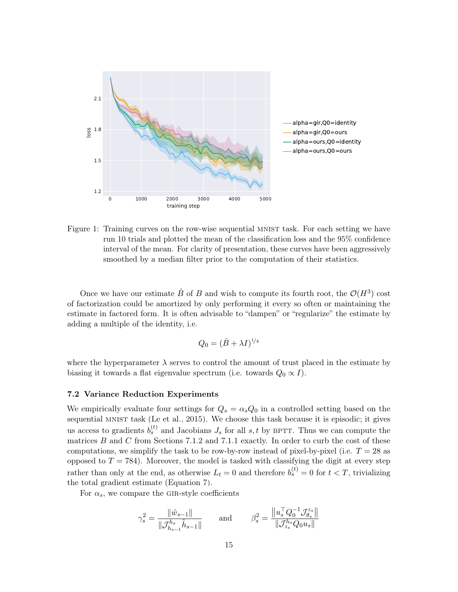

<span id="page-14-1"></span>Figure 1: Training curves on the row-wise sequential MNIST task. For each setting we have run 10 trials and plotted the mean of the classification loss and the 95% confidence interval of the mean. For clarity of presentation, these curves have been aggressively smoothed by a median filter prior to the computation of their statistics.

Once we have our estimate  $\hat{B}$  of B and wish to compute its fourth root, the  $\mathcal{O}(H^3)$  cost of factorization could be amortized by only performing it every so often or maintaining the estimate in factored form. It is often advisable to "dampen" or "regularize" the estimate by adding a multiple of the identity, i.e.

$$
Q_0 = (\hat{B} + \lambda I)^{1/4}
$$

where the hyperparameter  $\lambda$  serves to control the amount of trust placed in the estimate by biasing it towards a flat eigenvalue spectrum (i.e. towards  $Q_0 \propto I$ ).

#### <span id="page-14-0"></span>7.2 Variance Reduction Experiments

We empirically evaluate four settings for  $Q_s = \alpha_s Q_0$  in a controlled setting based on the sequential MNIST task [\(Le et al., 2015\)](#page-35-12). We choose this task because it is episodic; it gives us access to gradients  $b_s^{(t)}$  and Jacobians  $J_s$  for all  $s, t$  by BPTT. Thus we can compute the matrices  $B$  and  $C$  from Sections [7.1.2](#page-12-0) and [7.1.1](#page-11-1) exactly. In order to curb the cost of these computations, we simplify the task to be row-by-row instead of pixel-by-pixel (i.e.  $T = 28$  as opposed to  $T = 784$ ). Moreover, the model is tasked with classifying the digit at every step rather than only at the end, as otherwise  $L_t = 0$  and therefore  $b_s^{(t)} = 0$  for  $t < T$ , trivializing the total gradient estimate (Equation [7\)](#page-9-1).

For  $\alpha_s$ , we compare the GIR-style coefficients

$$
\gamma_s^2 = \frac{\|\tilde{w}_{s-1}\|}{\|\mathcal{J}_{h_{s-1}}^{h_s}\tilde{h}_{s-1}\|} \quad \text{and} \quad \beta_s^2 = \frac{\|u_s^{\top} Q_0^{-1} \mathcal{J}_{\theta_s}^{z_s}\|}{\|\mathcal{J}_{z_s}^{h_s} Q_0 u_s\|}
$$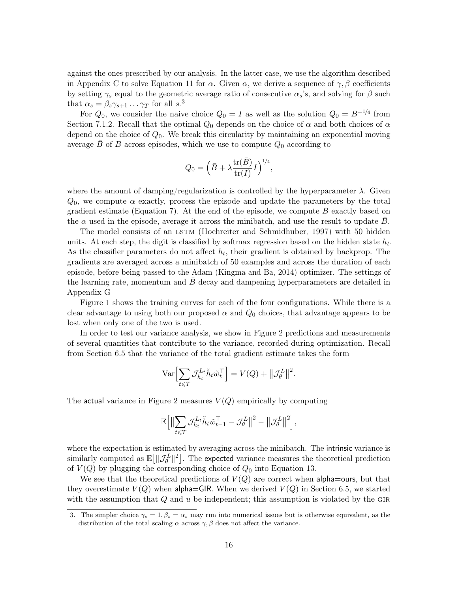against the ones prescribed by our analysis. In the latter case, we use the algorithm described in Appendix [C](#page-1-0) to solve Equation [11](#page-11-0) for  $\alpha$ . Given  $\alpha$ , we derive a sequence of  $\gamma$ , β coefficients by setting  $\gamma_s$  equal to the geometric average ratio of consecutive  $\alpha_s$ 's, and solving for  $\beta$  such that  $\alpha_s = \beta_s \gamma_{s+1} \dots \gamma_T$  for all  $s^3$  $s^3$ .

For  $Q_0$ , we consider the naive choice  $Q_0 = I$  as well as the solution  $Q_0 = B^{-1/4}$  from Section [7.1.2.](#page-12-0) Recall that the optimal  $Q_0$  depends on the choice of  $\alpha$  and both choices of  $\alpha$ depend on the choice of  $Q_0$ . We break this circularity by maintaining an exponential moving average  $\bar{B}$  of B across episodes, which we use to compute  $Q_0$  according to

$$
Q_0 = \Big(\bar B + \lambda \frac{\operatorname{tr}(\bar B)}{\operatorname{tr}(I)} I \Big)^{1/4},
$$

where the amount of damping/regularization is controlled by the hyperparameter  $\lambda$ . Given  $Q_0$ , we compute  $\alpha$  exactly, process the episode and update the parameters by the total gradient estimate (Equation [7\)](#page-9-1). At the end of the episode, we compute  $B$  exactly based on the  $\alpha$  used in the episode, average it across the minibatch, and use the result to update  $B$ .

The model consists of an LSTM [\(Hochreiter and Schmidhuber, 1997\)](#page-34-1) with 50 hidden units. At each step, the digit is classified by softmax regression based on the hidden state  $h_t$ . As the classifier parameters do not affect  $h_t$ , their gradient is obtained by backprop. The gradients are averaged across a minibatch of 50 examples and across the duration of each episode, before being passed to the Adam [\(Kingma and Ba, 2014\)](#page-35-13) optimizer. The settings of the learning rate, momentum and  $B$  decay and dampening hyperparameters are detailed in Appendix [G.](#page-10-0)

Figure [1](#page-14-1) shows the training curves for each of the four configurations. While there is a clear advantage to using both our proposed  $\alpha$  and  $Q_0$  choices, that advantage appears to be lost when only one of the two is used.

In order to test our variance analysis, we show in Figure [2](#page-16-1) predictions and measurements of several quantities that contribute to the variance, recorded during optimization. Recall from Section [6.5](#page-10-1) that the variance of the total gradient estimate takes the form

$$
\text{Var}\Bigl[\sum_{t\leqslant T}\mathcal{J}^{L_t}_{h_t}\tilde{h}_t\tilde{w}_t^\top\Bigr]=V(Q)+\bigl\|\mathcal{J}^L_\theta\bigr\|^2.
$$

The actual variance in Figure [2](#page-16-1) measures  $V(Q)$  empirically by computing

$$
\mathbb{E}\Big[\big\| \sum_{t\leqslant T}\mathcal{J}_{h_t}^{L_t} \tilde{h}_t \tilde{w}_{t-1}^\top - \mathcal{J}_{\theta}^L\big\|^2 - \big\|\mathcal{J}_{\theta}^L\big\|^2\Big],
$$

where the expectation is estimated by averaging across the minibatch. The intrinsic variance is similarly computed as  $\mathbb{E}\big[\|\mathcal{J}_{\theta}^{L}\|^2\big]$ . The expected variance measures the theoretical prediction of  $V(Q)$  by plugging the corresponding choice of  $Q_0$  into Equation [13.](#page-12-1)

We see that the theoretical predictions of  $V(Q)$  are correct when **alpha**=ours, but that they overestimate  $V(Q)$  when alpha=GIR. When we derived  $V(Q)$  in Section [6.5,](#page-10-1) we started with the assumption that  $Q$  and  $u$  be independent; this assumption is violated by the GIR

<span id="page-15-0"></span><sup>3.</sup> The simpler choice  $\gamma_s = 1, \beta_s = \alpha_s$  may run into numerical issues but is otherwise equivalent, as the distribution of the total scaling  $\alpha$  across  $\gamma$ ,  $\beta$  does not affect the variance.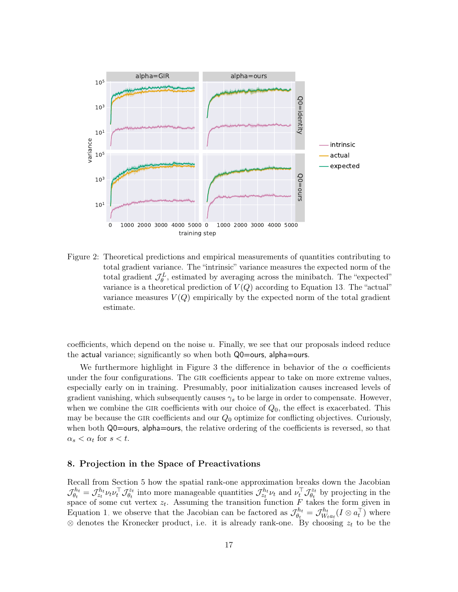

<span id="page-16-1"></span>Figure 2: Theoretical predictions and empirical measurements of quantities contributing to total gradient variance. The "intrinsic" variance measures the expected norm of the total gradient  $\mathcal{J}_{\theta}^{L}$ , estimated by averaging across the minibatch. The "expected" variance is a theoretical prediction of  $V(Q)$  according to Equation [13.](#page-12-1) The "actual" variance measures  $V(Q)$  empirically by the expected norm of the total gradient estimate.

coefficients, which depend on the noise  $u$ . Finally, we see that our proposals indeed reduce the actual variance; significantly so when both Q0=ours, alpha=ours.

We furthermore highlight in Figure [3](#page-17-0) the difference in behavior of the  $\alpha$  coefficients under the four configurations. The gir coefficients appear to take on more extreme values, especially early on in training. Presumably, poor initialization causes increased levels of gradient vanishing, which subsequently causes  $\gamma_s$  to be large in order to compensate. However, when we combine the GIR coefficients with our choice of  $Q_0$ , the effect is exacerbated. This may be because the GIR coefficients and our  $Q_0$  optimize for conflicting objectives. Curiously, when both Q0=ours, alpha=ours, the relative ordering of the coefficients is reversed, so that  $\alpha_s < \alpha_t$  for  $s < t$ .

# <span id="page-16-0"></span>8. Projection in the Space of Preactivations

Recall from Section [5](#page-4-0) how the spatial rank-one approximation breaks down the Jacobian  $\mathcal{J}_{\theta}^{h_t}$  $\sigma^{h_t}_{\theta_t} = \mathcal{J}^{h_t}_{z_t} \nu_t \nu_t^\top \mathcal{J}^{z_t}_{\theta_t}$  $\mathcal{J}_{\theta_t}^{z_t}$  into more manageable quantities  $\mathcal{J}_{z_t}^{h_t} \nu_t$  and  $\nu_t^\top \mathcal{J}_{\theta_t}^{z_t}$  $\theta_t^{z_t}$  by projecting in the space of some cut vertex  $z_t$ . Assuming the transition function  $F$  takes the form given in Equation [1,](#page-2-1) we observe that the Jacobian can be factored as  $\mathcal{J}_{\theta_{\epsilon}}^{h_t}$  $\theta_{t}^{h_{t}}=\mathcal{J}_{W_{t}}^{h_{t}}$  $\epsilon^{h_t}_{W_t a_t} (I \otimes a_t^{\top})$  where  $\otimes$  denotes the Kronecker product, i.e. it is already rank-one. By choosing  $z_t$  to be the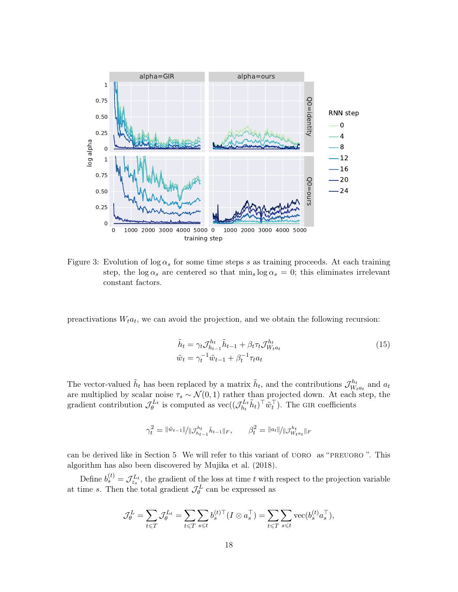

<span id="page-17-0"></span>Figure 3: Evolution of  $\log \alpha_s$  for some time steps s as training proceeds. At each training step, the  $\log \alpha_s$  are centered so that  $\min_s \log \alpha_s = 0$ ; this eliminates irrelevant constant factors.

preactivations  $W_t a_t$ , we can avoid the projection, and we obtain the following recursion:

<span id="page-17-1"></span>
$$
\tilde{h}_t = \gamma_t \mathcal{J}_{h_{t-1}}^{h_t} \tilde{h}_{t-1} + \beta_t \tau_t \mathcal{J}_{W_t a_t}^{h_t}
$$
\n
$$
\tilde{w}_t = \gamma_t^{-1} \tilde{w}_{t-1} + \beta_t^{-1} \tau_t a_t
$$
\n(15)

The vector-valued  $\tilde{h}_t$  has been replaced by a matrix  $\tilde{h}_t$ , and the contributions  $\mathcal{J}_{W_t}^{h_t}$  $W_{t}^{n_t}$  and  $a_t$ are multiplied by scalar noise  $\tau_s \sim \mathcal{N}(0, 1)$  rather than projected down. At each step, the gradient contribution  $\mathcal{J}_{\theta}^{L_t}$  is computed as  $\text{vec}((\mathcal{J}_{h_t}^{L_t})$  $\tilde{h}_t^{L_t} \tilde{h}_t$ )<sup>T</sup> $\tilde{w}_t^{\top}$ ). The GIR coefficients

$$
\gamma_t^2 = \|\tilde{w}_{t-1}\| / \|\mathcal{J}_{h_{t-1}}^{h_t}\tilde{h}_{t-1}\|_F, \qquad \beta_t^2 = \|a_t\| / \|\mathcal{J}_{W_t a_t}^{h_t}\|_F
$$

can be derived like in Section [5.](#page-4-0) We will refer to this variant of uoro as "preuoro ". This algorithm has also been discovered by [Mujika et al.](#page-35-14) [\(2018\)](#page-35-14).

Define  $b_s^{(t)} = \mathcal{J}_{z_s}^{L_t}$ , the gradient of the loss at time t with respect to the projection variable at time s. Then the total gradient  $\mathcal{J}_{\theta}^{L}$  can be expressed as

$$
\mathcal{J}_{\theta}^{L} = \sum_{t \leq T} \mathcal{J}_{\theta}^{L_{t}} = \sum_{t \leq T} \sum_{s \leq t} b_{s}^{(t) \top} (I \otimes a_{s}^{\top}) = \sum_{t \leq T} \sum_{s \leq t} \text{vec}(b_{s}^{(t)} a_{s}^{\top}),
$$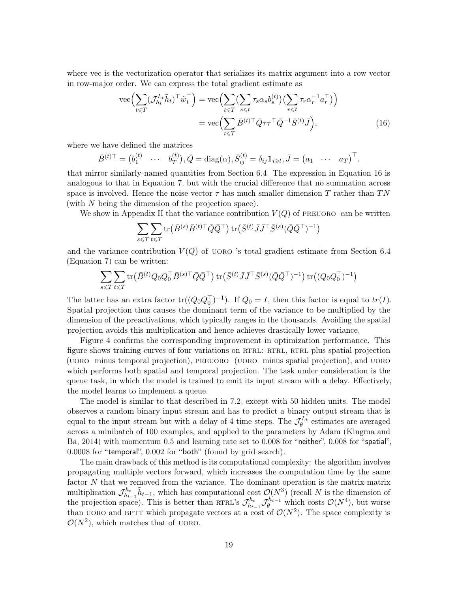where vec is the vectorization operator that serializes its matrix argument into a row vector in row-major order. We can express the total gradient estimate as

<span id="page-18-0"></span>
$$
\begin{split} \text{vec}\Big(\sum_{t\leq T} (\mathcal{J}_{h_t}^{L_t}\tilde{h}_t)^\top \tilde{w}_t^\top \Big) &= \text{vec}\Big(\sum_{t\leq T} (\sum_{s\leq t} \tau_s \alpha_s b_s^{(t)}) \big(\sum_{r\leq t} \tau_r \alpha_r^{-1} a_r^\top \big) \Big) \\ &= \text{vec}\Big(\sum_{t\leq T} \bar{B}^{(t)\top} \bar{Q} \tau \tau^\top \bar{Q}^{-1} \bar{S}^{(t)} \bar{J} \Big), \end{split} \tag{16}
$$

where we have defined the matrices

$$
\bar{B}^{(t)\top} = (b_1^{(t)} \cdots b_T^{(t)}), \bar{Q} = \text{diag}(\alpha), \bar{S}_{ij}^{(t)} = \delta_{ij} \mathbb{1}_{i \geq t}, \bar{J} = (a_1 \cdots a_T)^{\top}.
$$

that mirror similarly-named quantities from Section [6.4.](#page-9-0) The expression in Equation [16](#page-18-0) is analogous to that in Equation [7,](#page-9-1) but with the crucial difference that no summation across space is involved. Hence the noise vector  $\tau$  has much smaller dimension T rather than TN (with N being the dimension of the projection space).

We show in Appendix [H](#page-16-0) that the variance contribution  $V(Q)$  of PREUORO can be written

$$
\sum_{s \leqslant T} \sum_{t \leqslant T} \operatorname{tr} \big( \bar{B}^{(s)} \bar{B}^{(t)\top} \bar{Q} \bar{Q}^\top \big) \operatorname{tr} \big( \bar{S}^{(t)} \bar{J} \bar{J}^\top \bar{S}^{(s)} (\bar{Q} \bar{Q}^\top)^{-1} \big)
$$

and the variance contribution  $V(Q)$  of UORO 's total gradient estimate from Section [6.4](#page-9-0) (Equation [7\)](#page-9-1) can be written:

$$
\sum_{s \leq T} \sum_{t \leq T} \text{tr} \left( \bar{B}^{(t)} Q_0 Q_0^{\top} \bar{B}^{(s) \top} \bar{Q} \bar{Q}^{\top} \right) \text{tr} \left( \bar{S}^{(t)} \bar{J} \bar{J}^{\top} \bar{S}^{(s)} (\bar{Q} \bar{Q}^{\top})^{-1} \right) \text{tr} \left( (Q_0 Q_0^{\top})^{-1} \right)
$$

The latter has an extra factor  $tr((Q_0Q_0^{\top})^{-1})$ . If  $Q_0 = I$ , then this factor is equal to  $tr(I)$ . Spatial projection thus causes the dominant term of the variance to be multiplied by the dimension of the preactivations, which typically ranges in the thousands. Avoiding the spatial projection avoids this multiplication and hence achieves drastically lower variance.

Figure [4](#page-19-1) confirms the corresponding improvement in optimization performance. This figure shows training curves of four variations on RTRL: RTRL, RTRL plus spatial projection (uoro minus temporal projection), preuoro (uoro minus spatial projection), and uoro which performs both spatial and temporal projection. The task under consideration is the queue task, in which the model is trained to emit its input stream with a delay. Effectively, the model learns to implement a queue.

The model is similar to that described in [7.2,](#page-14-0) except with 50 hidden units. The model observes a random binary input stream and has to predict a binary output stream that is equal to the input stream but with a delay of 4 time steps. The  $\mathcal{J}_{\theta}^{L_t}$  estimates are averaged across a minibatch of 100 examples, and applied to the parameters by Adam [\(Kingma and](#page-35-13) [Ba, 2014\)](#page-35-13) with momentum 0.5 and learning rate set to 0.008 for "neither", 0.008 for "spatial", 0.0008 for "temporal", 0.002 for "both" (found by grid search).

The main drawback of this method is its computational complexity: the algorithm involves propagating multiple vectors forward, which increases the computation time by the same factor N that we removed from the variance. The dominant operation is the matrix-matrix multiplication  $\mathcal{J}_{h_1}^{h_t}$  $\tilde{h}_{h_{t-1}}^{\tilde{h}_{t}} \tilde{h}_{t-1}$ , which has computational cost  $\mathcal{O}(N^3)$  (recall N is the dimension of the projection space). This is better than RTRL's  $\mathcal{J}_{h_1}^{h_t}$  $\mathcal{J}_{h_{t-1}}^{h_t} \mathcal{J}_{\theta}^{h_{t-1}}$  which costs  $\mathcal{O}(N^4)$ , but worse than UORO and BPTT which propagate vectors at a cost of  $\mathcal{O}(N^2)$ . The space complexity is  $\mathcal{O}(N^2)$ , which matches that of UORO.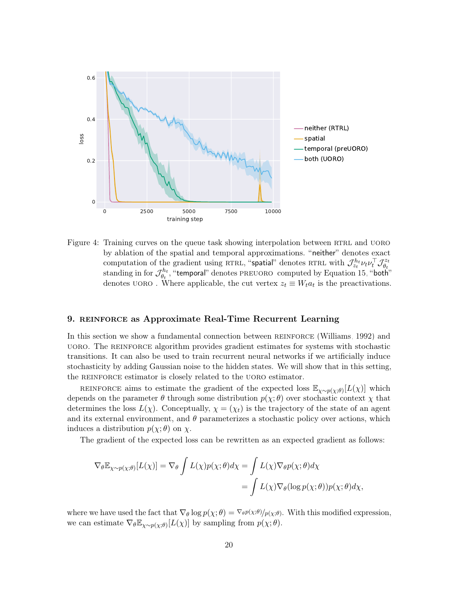

<span id="page-19-1"></span>Figure 4: Training curves on the queue task showing interpolation between RTRL and UORO by ablation of the spatial and temporal approximations. "neither" denotes exact computation of the gradient using RTRL, "spatial" denotes RTRL with  $\mathcal{J}_{z_t}^{h_t} \nu_t \nu_t^{\top} \mathcal{J}_{\theta_t}^{z_t}$ computation of the gradient using KTRE, spatial denotes KTRE with  $J_{z_t}^L \nu_t \nu_t J_{\theta_t}$ <br>standing in for  $\mathcal{J}_{h}^{h_t}$ , "temporal" denotes PREUORO computed by Equation 15, "both  $e_{\theta_t}^{h_t}$ , "temporal" denotes PREUORO computed by Equation [15,](#page-17-1) "both" denotes  $UORO$ . Where applicable, the cut vertex  $z_t \equiv W_t a_t$  is the preactivations.

#### <span id="page-19-0"></span>9. REINFORCE as Approximate Real-Time Recurrent Learning

In this section we show a fundamental connection between REINFORCE [\(Williams, 1992\)](#page-36-4) and uoro. The reinforce algorithm provides gradient estimates for systems with stochastic transitions. It can also be used to train recurrent neural networks if we artificially induce stochasticity by adding Gaussian noise to the hidden states. We will show that in this setting, the REINFORCE estimator is closely related to the UORO estimator.

REINFORCE aims to estimate the gradient of the expected loss  $\mathbb{E}_{\chi \sim p(\chi;\theta)}[L(\chi)]$  which depends on the parameter  $\theta$  through some distribution  $p(\chi; \theta)$  over stochastic context  $\chi$  that determines the loss  $L(\chi)$ . Conceptually,  $\chi = (\chi_t)$  is the trajectory of the state of an agent and its external environment, and  $\theta$  parameterizes a stochastic policy over actions, which induces a distribution  $p(\chi; \theta)$  on  $\chi$ .

The gradient of the expected loss can be rewritten as an expected gradient as follows:

$$
\nabla_{\theta} \mathbb{E}_{\chi \sim p(\chi; \theta)} [L(\chi)] = \nabla_{\theta} \int L(\chi) p(\chi; \theta) d\chi = \int L(\chi) \nabla_{\theta} p(\chi; \theta) d\chi
$$
  
= 
$$
\int L(\chi) \nabla_{\theta} (\log p(\chi; \theta)) p(\chi; \theta) d\chi,
$$

where we have used the fact that  $\nabla_{\theta} \log p(\chi; \theta) = \nabla_{\theta} p(\chi; \theta) / p(\chi; \theta)$ . With this modified expression, we can estimate  $\nabla_{\theta} \mathbb{E}_{\chi \sim p(\chi; \theta)} [L(\chi)]$  by sampling from  $p(\chi; \theta)$ .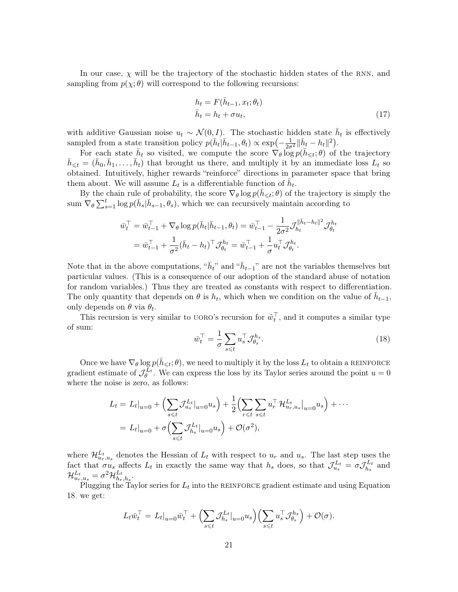In our case,  $\chi$  will be the trajectory of the stochastic hidden states of the RNN, and sampling from  $p(\chi; \theta)$  will correspond to the following recursions:

<span id="page-20-1"></span>
$$
h_t = F(\bar{h}_{t-1}, x_t; \theta_t)
$$
  
\n
$$
\bar{h}_t = h_t + \sigma u_t,
$$
\n(17)

with additive Gaussian noise  $u_t \sim \mathcal{N}(0, I)$ . The stochastic hidden state  $\bar{h}_t$  is effectively sampled from a state transition policy  $p(\bar{h}_t | \bar{h}_{t-1}, \theta_t) \propto \exp(-\frac{1}{2\sigma^2} || \bar{h}_t - h_t ||^2).$ 

For each state  $\bar{h}_t$  so visited, we compute the score  $\nabla_\theta \log p(\bar{h}_{\leq t}; \theta)$  of the trajectory  $\bar{h}_{\leqslant t} = (\bar{h}_0, \bar{h}_1, \ldots, \bar{h}_t)$  that brought us there, and multiply it by an immediate loss  $L_t$  so obtained. Intuitively, higher rewards "reinforce" directions in parameter space that bring them about. We will assume  $L_t$  is a differentiable function of  $\bar{h}_t$ .

By the chain rule of probability, the score  $\nabla_{\theta} \log p(\bar{h}_{\leq t}; \theta)$  of the trajectory is simply the sum  $\nabla_{\theta} \sum_{s=1}^{t} \log p(\bar{h}_s | \bar{h}_{s-1}, \theta_s)$ , which we can recursively maintain according to

$$
\begin{split} \bar{w}_t^\top &= \bar{w}_{t-1}^\top + \nabla_{\theta} \log p(\bar{h}_t | \bar{h}_{t-1}, \theta_t) = \bar{w}_{t-1}^\top - \frac{1}{2\sigma^2} \mathcal{J}_{h_t}^{\|\bar{h}_t - h_t\|^2} \mathcal{J}_{\theta_t}^{h_t} \\ &= \bar{w}_{t-1}^\top + \frac{1}{\sigma^2} (\bar{h}_t - h_t)^\top \mathcal{J}_{\theta_t}^{h_t} = \bar{w}_{t-1}^\top + \frac{1}{\sigma} u_t^\top \mathcal{J}_{\theta_t}^{h_t}. \end{split}
$$

Note that in the above computations, " $\bar{h}_t$ " and " $\bar{h}_{t-1}$ " are not the variables themselves but particular values. (This is a consequence of our adoption of the standard abuse of notation for random variables.) Thus they are treated as constants with respect to differentiation. The only quantity that depends on  $\theta$  is  $h_t$ , which when we condition on the value of  $\bar{h}_{t-1}$ , only depends on  $\theta$  via  $\theta_t$ .

<span id="page-20-0"></span>This recursion is very similar to UORO's recursion for  $\tilde{w}_t^{\top}$ , and it computes a similar type of sum:

$$
\bar{w}_t^\top = \frac{1}{\sigma} \sum_{s \le t} u_s^\top \mathcal{J}_{\theta_s}^{h_s}.
$$
\n(18)

Once we have  $\nabla_{\theta} \log p(\bar{h}_{\leq t}; \theta)$ , we need to multiply it by the loss  $L_t$  to obtain a REINFORCE gradient estimate of  $\mathcal{J}_{\theta}^{L_t}$ . We can express the loss by its Taylor series around the point  $u = 0$ where the noise is zero, as follows:

$$
L_t = L_t|_{u=0} + \left(\sum_{s \le t} \mathcal{J}_{u_s}^{L_t}|_{u=0} u_s\right) + \frac{1}{2} \left(\sum_{r \le t} \sum_{s \le t} u_r^{\top} \mathcal{H}_{u_r, u_s}^{L_t}|_{u=0} u_s\right) + \cdots
$$
  
=  $L_t|_{u=0} + \sigma \left(\sum_{s \le t} \mathcal{J}_{h_s}^{L_t}|_{u=0} u_s\right) + \mathcal{O}(\sigma^2),$ 

where  $\mathcal{H}_{u_r,u_s}^{L_t}$  denotes the Hessian of  $L_t$  with respect to  $u_r$  and  $u_s$ . The last step uses the fact that  $\sigma u_s$  affects  $L_t$  in exactly the same way that  $h_s$  does, so that  $\mathcal{J}_{u_s}^{L_t} = \sigma \mathcal{J}_{h_s}^{L_t}$  $h_s^{L_t}$  and  $\mathcal{H}_{u_r,u_s}^{L_t}=\sigma^2\mathcal{H}_{h_r}^{L_t}$  $_{h_r,h_s}^{L_t}.$ 

Plugging the Taylor series for  $L_t$  into the REINFORCE gradient estimate and using Equation [18,](#page-20-0) we get:

<span id="page-20-2"></span>
$$
L_t \bar{w}_t^{\top} = L_t|_{u=0} \bar{w}_t^{\top} + \Big(\sum_{s \leq t} \mathcal{J}_{h_s}^{L_t}|_{u=0} u_s\Big) \Big(\sum_{s \leq t} u_s^{\top} \mathcal{J}_{\theta_s}^{h_s}\Big) + \mathcal{O}(\sigma).
$$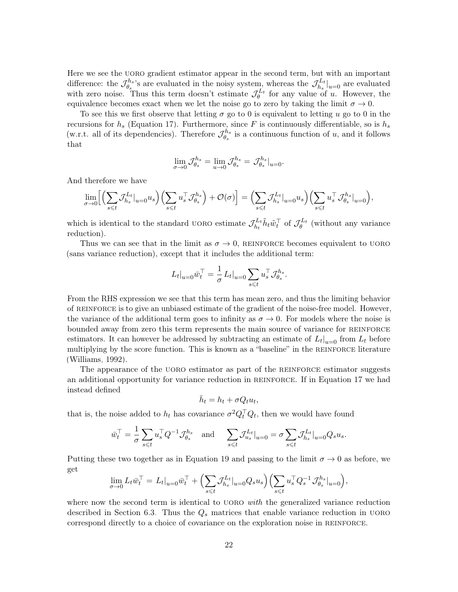Here we see the UORO gradient estimator appear in the second term, but with an important difference: the  $\mathcal{J}_{\theta_{n}}^{h_{s}}$  $\mathcal{J}_{\theta_s}^{h_s}$ 's are evaluated in the noisy system, whereas the  $\mathcal{J}_{h_s}^{L_t}$  $\binom{L_t}{h_s}\big|_{u=0}$  are evaluated with zero noise. Thus this term doesn't estimate  $\mathcal{J}_{\theta}^{L_t}$  for any value of u. However, the equivalence becomes exact when we let the noise go to zero by taking the limit  $\sigma \to 0$ .

To see this we first observe that letting  $\sigma$  go to 0 is equivalent to letting u go to 0 in the recursions for  $h_s$  (Equation [17\)](#page-20-1). Furthermore, since F is continuously differentiable, so is  $h_s$ (w.r.t. all of its dependencies). Therefore  $\mathcal{J}_{\theta_{\alpha}}^{h_s}$  $\theta_s^{h_s}$  is a continuous function of u, and it follows that

$$
\lim_{\sigma \to 0} \mathcal{J}_{\theta_s}^{h_s} = \lim_{u \to 0} \mathcal{J}_{\theta_s}^{h_s} = \mathcal{J}_{\theta_s}^{h_s}|_{u=0}.
$$

And therefore we have

$$
\lim_{\sigma \to 0} \Big[ \Big( \sum_{s \leq t} \mathcal{J}_{h_s}^{L_t} \big|_{u=0} u_s \Big) \Big( \sum_{s \leq t} u_s^{\top} \mathcal{J}_{\theta_s}^{h_s} \Big) + \mathcal{O}(\sigma) \Big] = \Big( \sum_{s \leq t} \mathcal{J}_{h_s}^{L_t} \big|_{u=0} u_s \Big) \Big( \sum_{s \leq t} u_s^{\top} \mathcal{J}_{\theta_s}^{h_s} \big|_{u=0} \Big),
$$

which is identical to the standard UORO estimate  $\mathcal{J}_{h_1}^{L_t}$  $\tilde{h}_t L_t \tilde{h}_t \tilde{w}_t^{\top}$  of  $\mathcal{J}_{\theta}^{L_t}$  (without any variance reduction).

Thus we can see that in the limit as  $\sigma \to 0$ , REINFORCE becomes equivalent to UORO (sans variance reduction), except that it includes the additional term:

$$
L_t|_{u=0}\bar{w}_t^\top = \frac{1}{\sigma} L_t|_{u=0} \sum_{s \leq t} u_s^\top \mathcal{J}_{\theta_s}^{h_s}.
$$

From the RHS expression we see that this term has mean zero, and thus the limiting behavior of reinforce is to give an unbiased estimate of the gradient of the noise-free model. However, the variance of the additional term goes to infinity as  $\sigma \to 0$ . For models where the noise is bounded away from zero this term represents the main source of variance for reinforce estimators. It can however be addressed by subtracting an estimate of  $L_t|_{u=0}$  from  $L_t$  before multiplying by the score function. This is known as a "baseline" in the REINFORCE literature [\(Williams, 1992\)](#page-36-4).

The appearance of the UORO estimator as part of the REINFORCE estimator suggests an additional opportunity for variance reduction in reinforce. If in Equation [17](#page-20-1) we had instead defined

$$
\bar{h}_t = h_t + \sigma Q_t u_t,
$$

that is, the noise added to  $h_t$  has covariance  $\sigma^2 Q_t^{\top} Q_t$ , then we would have found

$$
\bar{w}_t^\top = \frac{1}{\sigma} \sum_{s \leq t} u_s^\top Q^{-1} \mathcal{J}_{\theta_s}^{h_s} \quad \text{and} \quad \sum_{s \leq t} \mathcal{J}_{u_s}^{L_t}|_{u=0} = \sigma \sum_{s \leq t} \mathcal{J}_{h_s}^{L_t}|_{u=0} Q_s u_s.
$$

Putting these two together as in Equation [19](#page-20-2) and passing to the limit  $\sigma \to 0$  as before, we get

$$
\lim_{\sigma \to 0} L_t \bar{w}_t^{\top} = L_t|_{u=0} \bar{w}_t^{\top} + \Big(\sum_{s \leq t} \mathcal{J}_{h_s}^{L_t}|_{u=0} Q_s u_s\Big) \Big(\sum_{s \leq t} u_s^{\top} Q_s^{-1} \mathcal{J}_{\theta_s}^{h_s}|_{u=0}\Big),
$$

where now the second term is identical to UORO with the generalized variance reduction described in Section [6.3.](#page-8-0) Thus the  $Q_s$  matrices that enable variance reduction in UORO correspond directly to a choice of covariance on the exploration noise in reinforce.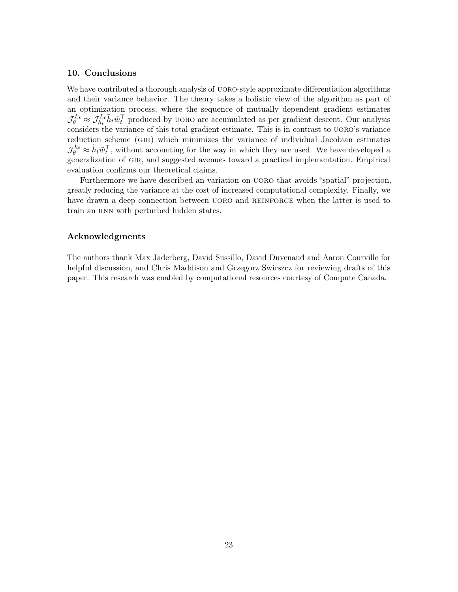# 10. Conclusions

We have contributed a thorough analysis of UORO-style approximate differentiation algorithms and their variance behavior. The theory takes a holistic view of the algorithm as part of an optimization process, where the sequence of mutually dependent gradient estimates  $\mathcal{J}_{\theta}^{Lt} \approx \mathcal{J}_{h_t}^{L_t} \tilde{h}_t \tilde{w}_t^{\top}$  produced by UORO are accumulated as per gradient descent. Our analysis considers the variance of this total gradient estimate. This is in contrast to UORO's variance reduction scheme (gir) which minimizes the variance of individual Jacobian estimates  $\mathcal{J}_{\theta}^{h_t} \approx \tilde{h}_t \tilde{w}_t^{\top}$ , without accounting for the way in which they are used. We have developed a generalization of gir, and suggested avenues toward a practical implementation. Empirical evaluation confirms our theoretical claims.

Furthermore we have described an variation on uoro that avoids "spatial" projection, greatly reducing the variance at the cost of increased computational complexity. Finally, we have drawn a deep connection between UORO and REINFORCE when the latter is used to train an RNN with perturbed hidden states.

#### Acknowledgments

The authors thank Max Jaderberg, David Sussillo, David Duvenaud and Aaron Courville for helpful discussion, and Chris Maddison and Grzegorz Swirszcz for reviewing drafts of this paper. This research was enabled by computational resources courtesy of Compute Canada.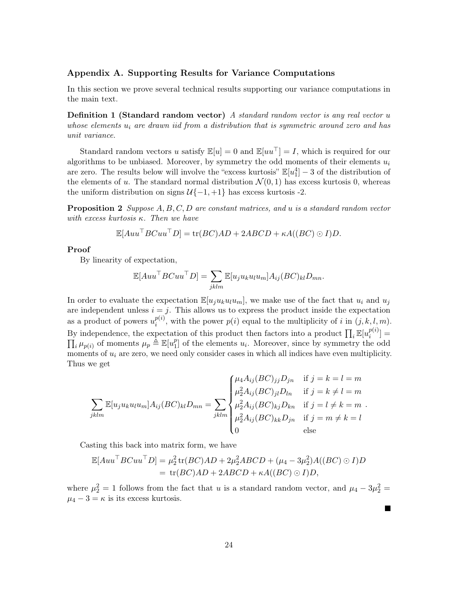# Appendix A. Supporting Results for Variance Computations

In this section we prove several technical results supporting our variance computations in the main text.

**Definition 1 (Standard random vector)** A standard random vector is any real vector  $u$ whose elements  $u_i$  are drawn iid from a distribution that is symmetric around zero and has unit variance.

Standard random vectors u satisfy  $\mathbb{E}[u] = 0$  and  $\mathbb{E}[uu^{\top}] = I$ , which is required for our algorithms to be unbiased. Moreover, by symmetry the odd moments of their elements  $u_i$ are zero. The results below will involve the "excess kurtosis"  $\mathbb{E}[u_1^4] - 3$  of the distribution of the elements of u. The standard normal distribution  $\mathcal{N}(0,1)$  has excess kurtosis 0, whereas the uniform distribution on signs  $U\{-1, +1\}$  has excess kurtosis -2.

<span id="page-23-1"></span>Proposition 2 Suppose A, B, C, D are constant matrices, and u is a standard random vector with excess kurtosis  $\kappa$ . Then we have

$$
\mathbb{E}[Auu^\top B Cuu^\top D] = \text{tr}(BC)AD + 2ABCD + \kappa A((BC) \odot I)D.
$$

#### Proof

By linearity of expectation,

$$
\mathbb{E}[Auu^{\top}BCuu^{\top}D] = \sum_{jklm} \mathbb{E}[u_ju_ku_lu_m]A_{ij}(BC)_{kl}D_{mn}.
$$

In order to evaluate the expectation  $\mathbb{E}[u_j u_k u_l u_m]$ , we make use of the fact that  $u_i$  and  $u_j$ are independent unless  $i = j$ . This allows us to express the product inside the expectation as a product of powers  $u_i^{p(i)}$  $\hat{p}^{(i)}_{i}$ , with the power  $p(i)$  equal to the multiplicity of i in  $(j, k, l, m)$ . By independence, the expectation of this product then factors into a product  $\prod_i \mathbb{E}[u_i^{p(i)}]$  $\binom{p(i)}{i}$  =  $\prod_i \mu_{p(i)}$  of moments  $\mu_p \triangleq \mathbb{E}[u_1^p]$  $\begin{bmatrix} p_1 \\ p_2 \end{bmatrix}$  of the elements  $u_i$ . Moreover, since by symmetry the odd moments of  $u_i$  are zero, we need only consider cases in which all indices have even multiplicity. Thus we get

$$
\sum_{jklm} \mathbb{E}[u_j u_k u_l u_m] A_{ij} (BC)_{kl} D_{mn} = \sum_{jklm} \begin{cases} \mu_4 A_{ij} (BC)_{jj} D_{jn} & \text{if } j = k = l = m \\ \mu_2^2 A_{ij} (BC)_{jl} D_{ln} & \text{if } j = k \neq l = m \\ \mu_2^2 A_{ij} (BC)_{kj} D_{kn} & \text{if } j = l \neq k = m \\ \mu_2^2 A_{ij} (BC)_{kk} D_{jn} & \text{if } j = m \neq k = l \\ 0 & \text{else} \end{cases}
$$

.

Casting this back into matrix form, we have

$$
\mathbb{E}[Auu^{\top}BCuu^{\top}D] = \mu_2^2 \operatorname{tr}(BC)AD + 2\mu_2^2 ABCD + (\mu_4 - 3\mu_2^2)A((BC) \odot I)D
$$
  
= tr(BC)AD + 2ABCD + \kappa A((BC) \odot I)D,

<span id="page-23-0"></span>where  $\mu_2^2 = 1$  follows from the fact that u is a standard random vector, and  $\mu_4 - 3\mu_2^2 =$  $\mu_4 - 3 = \kappa$  is its excess kurtosis.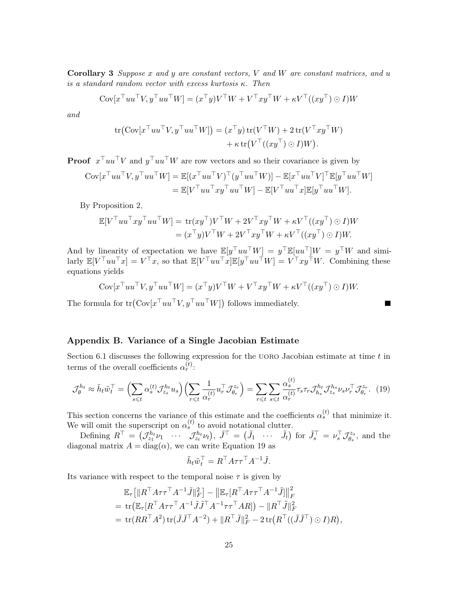Corollary 3 Suppose  $x$  and  $y$  are constant vectors,  $V$  and  $W$  are constant matrices, and  $u$ is a standard random vector with excess kurtosis  $\kappa$ . Then

$$
Cov[x^\top uu^\top V, y^\top uu^\top W] = (x^\top y)V^\top W + V^\top xy^\top W + \kappa V^\top ((xy^\top) \odot I)W
$$

and

$$
\text{tr}(\text{Cov}[x^\top uu^\top V, y^\top uu^\top W]) = (x^\top y) \text{tr}(V^\top W) + 2 \text{tr}(V^\top xy^\top W) + \kappa \text{tr}(V^\top ((xy^\top) \odot I)W).
$$

**Proof**  $x^{\top}uu^{\top}V$  and  $y^{\top}uu^{\top}W$  are row vectors and so their covariance is given by

$$
Cov[x^\top uu^\top V, y^\top uu^\top W] = \mathbb{E}[(x^\top uu^\top V)^\top (y^\top uu^\top W)] - \mathbb{E}[x^\top uu^\top V]^\top \mathbb{E}[y^\top uu^\top W] = \mathbb{E}[V^\top uu^\top xy^\top uu^\top W] - \mathbb{E}[V^\top uu^\top x] \mathbb{E}[y^\top uu^\top W].
$$

By Proposition [2,](#page-23-1)

$$
\mathbb{E}[V^\top uu^\top xy^\top uu^\top W] = \text{tr}(xy^\top) V^\top W + 2V^\top xy^\top W + \kappa V^\top ((xy^\top) \odot I)W = (x^\top y)V^\top W + 2V^\top xy^\top W + \kappa V^\top ((xy^\top) \odot I)W.
$$

And by linearity of expectation we have  $\mathbb{E}[y^\top uu^\top W] = y^\top \mathbb{E}[uu^\top]W = y^\top W$  and similarly  $\mathbb{E}[V^\top uu^\top x] = V^\top x$ , so that  $\mathbb{E}[V^\top uu^\top x] \mathbb{E}[y^\top uu^\top W] = V^\top xy^\top W$ . Combining these equations yields

$$
Cov[x^\top uu^\top V, y^\top uu^\top W] = (x^\top y)V^\top W + V^\top xy^\top W + \kappa V^\top ((xy^\top) \odot I)W.
$$

The formula for  $tr(Cov[x^\top uu^\top V, y^\top uu^\top W])$  follows immediately.

# Appendix B. Variance of a Single Jacobian Estimate

Section [6.1](#page-7-0) discusses the following expression for the UORO Jacobian estimate at time  $t$  in terms of the overall coefficients  $\alpha_r^{(t)}$ :

$$
\mathcal{J}_{\theta}^{h_t} \approx \tilde{h}_t \tilde{w}_t^{\top} = \left(\sum_{s \leq t} \alpha_s^{(t)} \mathcal{J}_{z_s}^{h_t} u_s\right) \left(\sum_{r \leq t} \frac{1}{\alpha_r^{(t)}} u_r^{\top} \mathcal{J}_{\theta_r}^{z_r}\right) = \sum_{r \leq t} \sum_{s \leq t} \frac{\alpha_s^{(t)}}{\alpha_r^{(t)}} \tau_s \tau_r \mathcal{J}_{h_s}^{h_t} \mathcal{J}_{z_s}^{h_s} \nu_s \nu_r^{\top} \mathcal{J}_{\theta_r}^{z_r}.
$$
 (19)

This section concerns the variance of this estimate and the coefficients  $\alpha_s^{(t)}$  that minimize it. We will omit the superscript on  $\alpha_s^{(t)}$  to avoid notational clutter.

Defining  $R^{\top} = (\mathcal{J}_{z_1}^{h_t} \nu_1 \cdots \mathcal{J}_{z_t}^{h_t} \nu_t), \tilde{J}^{\top} = (\tilde{J}_1 \cdots \tilde{J}_t)$  for  $\tilde{J}_s^{\top} = \nu_s^{\top} \mathcal{J}_{\theta_s}^{z_s}$  $\theta_s^{z_s}$ , and the diagonal matrix  $A = diag(\alpha)$ , we can write Equation [19](#page-24-0) as

<span id="page-24-0"></span>
$$
\tilde{h}_t \tilde{w}_t^{\top} = R^{\top} A \tau \tau^{\top} A^{-1} \tilde{J}.
$$

Its variance with respect to the temporal noise  $\tau$  is given by

$$
\mathbb{E}_{\tau} \left[ \| R^{\top} A \tau \tau^{\top} A^{-1} \tilde{J} \|_{F}^{2} \right] - \left\| \mathbb{E}_{\tau} [ R^{\top} A \tau \tau^{\top} A^{-1} \tilde{J} ] \right\|_{F}^{2}
$$
\n
$$
= \text{tr} \left( \mathbb{E}_{\tau} [ R^{\top} A \tau \tau^{\top} A^{-1} \tilde{J} \tilde{J}^{\top} A^{-1} \tau \tau^{\top} A R ] \right) - \| R^{\top} \tilde{J} \|_{F}^{2}
$$
\n
$$
= \text{tr} (R R^{\top} A^{2}) \, \text{tr} (\tilde{J} \tilde{J}^{\top} A^{-2}) + \| R^{\top} \tilde{J} \|_{F}^{2} - 2 \, \text{tr} (R^{\top} ((\tilde{J} \tilde{J}^{\top}) \odot I) R ),
$$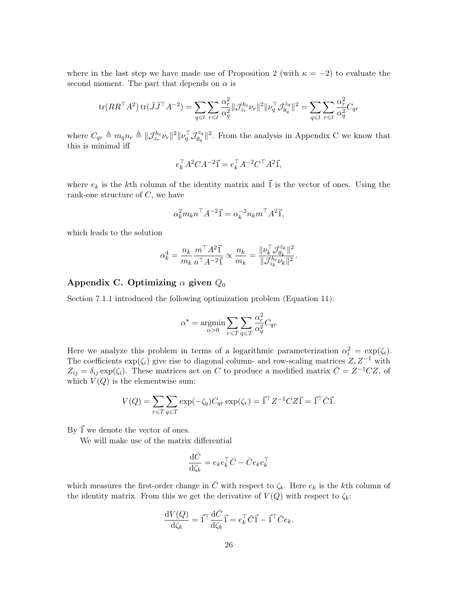where in the last step we have made use of Proposition [2](#page-23-1) (with  $\kappa = -2$ ) to evaluate the second moment. The part that depends on  $\alpha$  is

$$
\text{tr}(RR^\top A^2)\,\text{tr}(\tilde{J}\tilde{J}^\top A^{-2}) = \sum_{q \leq t} \sum_{r \leq t} \frac{\alpha_r^2}{\alpha_q^2} \|\mathcal{J}_{z_r}^{h_t} \nu_r\|^2 \|\nu_q^\top \mathcal{J}_{\theta_q}^{z_q}\|^2 = \sum_{q \leq t} \sum_{r \leq t} \frac{\alpha_r^2}{\alpha_q^2} C_{qr}
$$

where  $C_{qr} \triangleq m_q n_r \triangleq \|\mathcal{J}_{z_r}^{h_t} \nu_r\|^2 \|\nu_q^{\top} \mathcal{J}_{\theta_q}^{z_q}$  $\mathbb{E}_{\theta_q}^{\mathbb{Z}_q}$  ||<sup>2</sup>. From the analysis in Appendix [C](#page-1-0) we know that this is minimal iff

$$
e_k^\top A^2 C A^{-2} \vec{1} = e_k^\top A^{-2} C^\top A^2 \vec{1},
$$

where  $e_k$  is the kth column of the identity matrix and  $\vec{1}$  is the vector of ones. Using the rank-one structure of  $C$ , we have

$$
\alpha_k^2 m_k n^{\top} A^{-2} \vec{1} = \alpha_k^{-2} n_k m^{\top} A^2 \vec{1},
$$

which leads to the solution

$$
\alpha_k^4 = \frac{n_k}{m_k}\frac{m^\top A^2 \vec{1}}{n^\top A^{-2}\vec{1}} \propto \frac{n_k}{m_k} = \frac{\|\nu_k^\top \mathcal{J}_{\theta_k}^{z_k}\|^2}{\|\mathcal{J}_{z_k}^{h_t}\nu_k\|^2}.
$$

# Appendix C. Optimizing  $\alpha$  given  $Q_0$

Section [7.1.1](#page-11-1) introduced the following optimization problem (Equation [11\)](#page-11-0):

$$
\alpha^{\star} = \underset{\alpha > 0}{\text{argmin}} \sum_{r \leq T} \sum_{q \leq T} \frac{\alpha_r^2}{\alpha_q^2} C_{qr}
$$

Here we analyze this problem in terms of a logarithmic parameterization  $\alpha_i^2 = \exp(\zeta_i)$ . The coefficients  $\exp(\zeta_i)$  give rise to diagonal column- and row-scaling matrices  $Z, Z^{-1}$  with  $Z_{ij} = \delta_{ij} \exp(\zeta_i)$ . These matrices act on C to produce a modified matrix  $\overline{C} = Z^{-1} C Z$ , of which  $V(Q)$  is the elementwise sum:

$$
V(Q) = \sum_{r \leq T} \sum_{q \leq T} \exp(-\zeta_q) C_{qr} \exp(\zeta_r) = \vec{1}^\top Z^{-1} C Z \vec{1} = \vec{1}^\top \bar{C} \vec{1}.
$$

By  $\vec{1}$  we denote the vector of ones.

We will make use of the matrix differential

$$
\frac{\mathrm{d}\bar{C}}{\mathrm{d}\zeta_k} = e_k e_k^\top \bar{C} - \bar{C} e_k e_k^\top
$$

which measures the first-order change in  $\bar{C}$  with respect to  $\zeta_k$ . Here  $e_k$  is the kth column of the identity matrix. From this we get the derivative of  $V(Q)$  with respect to  $\zeta_k$ :

$$
\frac{\mathrm{d} V(Q)}{\mathrm{d} \zeta_k} = \vec{1}^\top \frac{\mathrm{d} \bar{C}}{\mathrm{d} \zeta_k} \vec{1} = e_k^\top \bar{C} \vec{1} - \vec{1}^\top \bar{C} e_k.
$$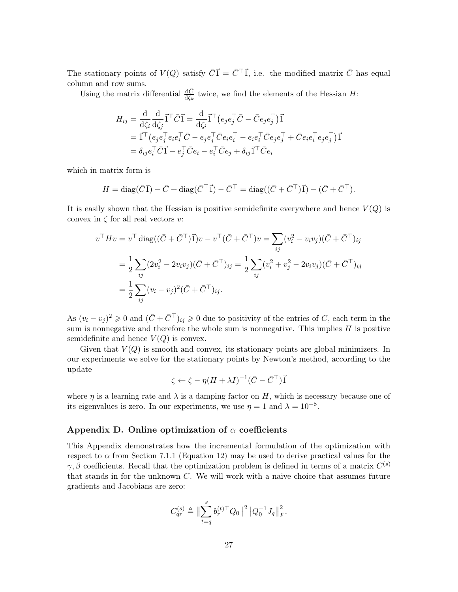The stationary points of  $V(Q)$  satisfy  $\overrightarrow{CI} = \overrightarrow{C}^{\top} \overrightarrow{1}$ , i.e. the modified matrix  $\overrightarrow{C}$  has equal column and row sums.

Using the matrix differential  $\frac{d\bar{C}}{d\zeta_k}$  twice, we find the elements of the Hessian H:

$$
H_{ij} = \frac{\mathrm{d}}{\mathrm{d}\zeta_i} \frac{\mathrm{d}}{\mathrm{d}\zeta_j} \vec{1}^\top \bar{C} \vec{1} = \frac{\mathrm{d}}{\mathrm{d}\zeta_i} \vec{1}^\top \left( e_j e_j^\top \bar{C} - \bar{C} e_j e_j^\top \right) \vec{1}
$$
  
=  $\vec{1}^\top \left( e_j e_j^\top e_i e_i^\top \bar{C} - e_j e_j^\top \bar{C} e_i e_i^\top - e_i e_i^\top \bar{C} e_j e_j^\top + \bar{C} e_i e_i^\top e_j e_j^\top \right) \vec{1}$   
=  $\delta_{ij} e_i^\top \bar{C} \vec{1} - e_j^\top \bar{C} e_i - e_i^\top \bar{C} e_j + \delta_{ij} \vec{1}^\top \bar{C} e_i$ 

which in matrix form is

$$
H = \text{diag}(\bar{C}\vec{1}) - \bar{C} + \text{diag}(\bar{C}^\top \vec{1}) - \bar{C}^\top = \text{diag}((\bar{C} + \bar{C}^\top)\vec{1}) - (\bar{C} + \bar{C}^\top).
$$

It is easily shown that the Hessian is positive semidefinite everywhere and hence  $V(Q)$  is convex in  $\zeta$  for all real vectors v:

$$
v^{\top}Hv = v^{\top} \operatorname{diag}((\bar{C} + \bar{C}^{\top})\vec{1})v - v^{\top}(\bar{C} + \bar{C}^{\top})v = \sum_{ij} (v_i^2 - v_i v_j)(\bar{C} + \bar{C}^{\top})_{ij}
$$
  
=  $\frac{1}{2} \sum_{ij} (2v_i^2 - 2v_i v_j)(\bar{C} + \bar{C}^{\top})_{ij} = \frac{1}{2} \sum_{ij} (v_i^2 + v_j^2 - 2v_i v_j)(\bar{C} + \bar{C}^{\top})_{ij}$   
=  $\frac{1}{2} \sum_{ij} (v_i - v_j)^2 (\bar{C} + \bar{C}^{\top})_{ij}.$ 

As  $(v_i - v_j)^2 \geq 0$  and  $(\bar{C} + \bar{C}^\top)_{ij} \geq 0$  due to positivity of the entries of C, each term in the sum is nonnegative and therefore the whole sum is nonnegative. This implies  $H$  is positive semidefinite and hence  $V(Q)$  is convex.

Given that  $V(Q)$  is smooth and convex, its stationary points are global minimizers. In our experiments we solve for the stationary points by Newton's method, according to the update

$$
\zeta \leftarrow \zeta - \eta (H + \lambda I)^{-1} (\bar{C} - \bar{C}^{\top}) \vec{1}
$$

where  $\eta$  is a learning rate and  $\lambda$  is a damping factor on H, which is necessary because one of its eigenvalues is zero. In our experiments, we use  $\eta = 1$  and  $\lambda = 10^{-8}$ .

#### Appendix D. Online optimization of  $\alpha$  coefficients

This Appendix demonstrates how the incremental formulation of the optimization with respect to  $\alpha$  from Section [7.1.1](#page-11-1) (Equation [12\)](#page-12-2) may be used to derive practical values for the  $\gamma, \beta$  coefficients. Recall that the optimization problem is defined in terms of a matrix  $C^{(s)}$ that stands in for the unknown C. We will work with a naive choice that assumes future gradients and Jacobians are zero:

$$
C_{qr}^{(s)} \triangleq \bigl\|\sum_{t=q}^s b_r^{(t)\top} Q_0\bigr\|^2 \bigl\|Q_0^{-1} J_q\bigr\|_F^2.
$$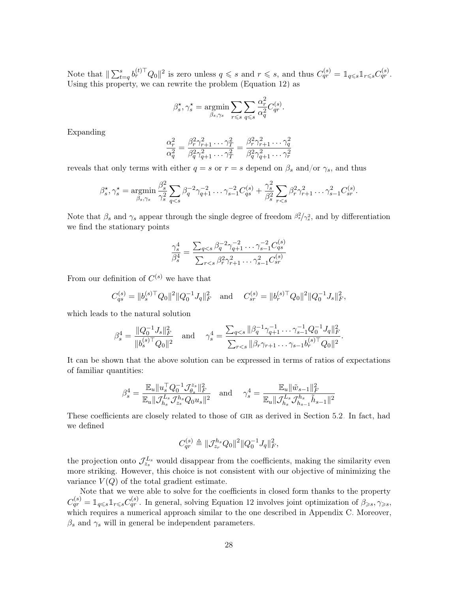Note that  $\|\sum_{t=q}^s b_r^{(t)\top} Q_0\|^2$  is zero unless  $q \leq s$  and  $r \leq s$ , and thus  $C_{qr}^{(s)} = \mathbb{1}_{q \leq s} \mathbb{1}_{r \leq s} C_{qr}^{(s)}$ . Using this property, we can rewrite the problem (Equation [12\)](#page-12-2) as

$$
\beta_s^\star, \gamma_s^\star = \operatorname*{argmin}_{\beta_s, \gamma_s} \sum_{r \leqslant s} \sum_{q \leqslant s} \frac{\alpha_r^2}{\alpha_q^2} C_{qr}^{(s)}.
$$

Expanding

$$
\frac{\alpha_r^2}{\alpha_q^2} = \frac{\beta_r^2 \gamma_{r+1}^2 \dots \gamma_T^2}{\beta_q^2 \gamma_{q+1}^2 \dots \gamma_T^2} = \frac{\beta_r^2 \gamma_{r+1}^2 \dots \gamma_q^2}{\beta_q^2 \gamma_{q+1}^2 \dots \gamma_r^2}
$$

reveals that only terms with either  $q = s$  or  $r = s$  depend on  $\beta_s$  and/or  $\gamma_s$ , and thus

$$
\beta_s^{\star}, \gamma_s^{\star} = \underset{\beta_s, \gamma_s}{\text{argmin}} \frac{\beta_s^2}{\gamma_s^2} \sum_{q < s} \beta_q^{-2} \gamma_{q+1}^{-2} \dots \gamma_{s-1}^{-2} C_{qs}^{(s)} + \frac{\gamma_s^2}{\beta_s^2} \sum_{r < s} \beta_r^2 \gamma_{r+1}^2 \dots \gamma_{s-1}^2 C_{sr}^{(s)}.
$$

Note that  $\beta_s$  and  $\gamma_s$  appear through the single degree of freedom  $\beta_s^2/\gamma_s^2$ , and by differentiation we find the stationary points

$$
\frac{\gamma_s^4}{\beta_s^4} = \frac{\sum_{q
$$

From our definition of  $C^{(s)}$  we have that

$$
C_{qs}^{(s)} = ||b_s^{(s)\top} Q_0||^2 ||Q_0^{-1} J_q||_F^2 \quad \text{and} \quad C_{sr}^{(s)} = ||b_r^{(s)\top} Q_0||^2 ||Q_0^{-1} J_s||_F^2,
$$

which leads to the natural solution

$$
\beta_s^4 = \frac{\|Q_0^{-1}J_s\|_F^2}{\|b_s^{(s)\top}Q_0\|^2} \quad \text{and} \quad \gamma_s^4 = \frac{\sum_{q
$$

It can be shown that the above solution can be expressed in terms of ratios of expectations of familiar quantities:

$$
\beta_s^4 = \frac{\mathbb{E}_u \|u_s^\top Q_0^{-1} \mathcal{J}_{\theta_s}^{z_s} \|_F^2}{\mathbb{E}_u \| \mathcal{J}_{h_s}^{L_s} \mathcal{J}_{z_s}^{h_s} Q_0 u_s \|^2} \quad \text{and} \quad \gamma_s^4 = \frac{\mathbb{E}_u \| \tilde{w}_{s-1} \|_F^2}{\mathbb{E}_u \| \mathcal{J}_{h_s}^{L_s} \mathcal{J}_{h_{s-1}}^{h_{s}} \tilde{h}_{s-1} \|^2}
$$

These coefficients are closely related to those of gir as derived in Section [5.2.](#page-5-1) In fact, had we defined

$$
C_{qr}^{(s)} \triangleq \|\mathcal{J}_{z_r}^{h_s} Q_0\|^2 \|Q_0^{-1} J_q\|_F^2,
$$

the projection onto  $\mathcal{J}_{z_s}^{L_s}$  would disappear from the coefficients, making the similarity even more striking. However, this choice is not consistent with our objective of minimizing the variance  $V(Q)$  of the total gradient estimate.

Note that we were able to solve for the coefficients in closed form thanks to the property  $C_{qr}^{(s)} = \mathbb{1}_{q \leq s} \mathbb{1}_{r \leq s} C_{qr}^{(s)}$ . In general, solving Equation [12](#page-12-2) involves joint optimization of  $\beta_{\geq s}, \gamma_{\geq s}$ , which requires a numerical approach similar to the one described in Appendix [C.](#page-1-0) Moreover,  $\beta_s$  and  $\gamma_s$  will in general be independent parameters.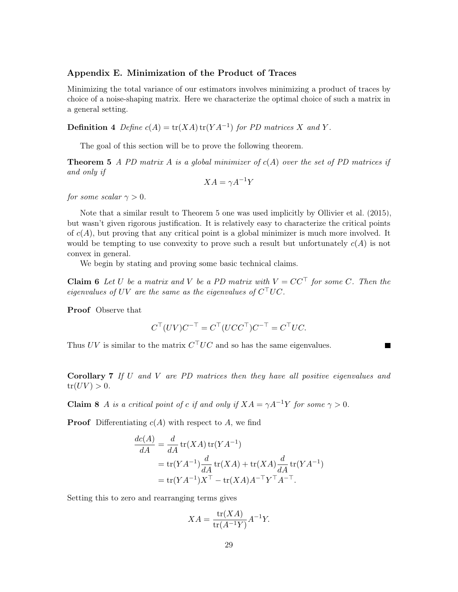# Appendix E. Minimization of the Product of Traces

Minimizing the total variance of our estimators involves minimizing a product of traces by choice of a noise-shaping matrix. Here we characterize the optimal choice of such a matrix in a general setting.

**Definition 4** Define  $c(A) = \text{tr}(XA) \text{tr}(YA^{-1})$  for PD matrices X and Y.

The goal of this section will be to prove the following theorem.

**Theorem 5** A PD matrix A is a global minimizer of  $c(A)$  over the set of PD matrices if and only if

<span id="page-28-0"></span>
$$
XA = \gamma A^{-1}Y
$$

for some scalar  $\gamma > 0$ .

Note that a similar result to Theorem [5](#page-28-0) one was used implicitly by [Ollivier et al.](#page-35-4) [\(2015\)](#page-35-4), but wasn't given rigorous justification. It is relatively easy to characterize the critical points of  $c(A)$ , but proving that any critical point is a global minimizer is much more involved. It would be tempting to use convexity to prove such a result but unfortunately  $c(A)$  is not convex in general.

We begin by stating and proving some basic technical claims.

<span id="page-28-2"></span>**Claim 6** Let U be a matrix and V be a PD matrix with  $V = CC^{\top}$  for some C. Then the eigenvalues of UV are the same as the eigenvalues of  $C<sup>T</sup>UC$ .

Proof Observe that

$$
C^{\top}(UV)C^{-\top} = C^{\top}(UCC^{\top})C^{-\top} = C^{\top}UC.
$$

 $\blacksquare$ 

Thus UV is similar to the matrix  $C<sup>T</sup>UC$  and so has the same eigenvalues.

Corollary 7 If U and V are PD matrices then they have all positive eigenvalues and  $tr(UV) > 0.$ 

<span id="page-28-1"></span>**Claim 8** A is a critical point of c if and only if  $XA = \gamma A^{-1}Y$  for some  $\gamma > 0$ .

**Proof** Differentiating  $c(A)$  with respect to A, we find

$$
\frac{dc(A)}{dA} = \frac{d}{dA} \operatorname{tr}(XA) \operatorname{tr}(YA^{-1})
$$
  
= tr(YA<sup>-1</sup>)  $\frac{d}{dA} \operatorname{tr}(XA) + \operatorname{tr}(XA) \frac{d}{dA} \operatorname{tr}(YA^{-1})$   
= tr(YA<sup>-1</sup>)X<sup>T</sup> – tr(XA)A<sup>-T</sup>Y<sup>T</sup>A<sup>-T</sup>.

Setting this to zero and rearranging terms gives

$$
XA = \frac{\operatorname{tr}(XA)}{\operatorname{tr}(A^{-1}Y)} A^{-1}Y.
$$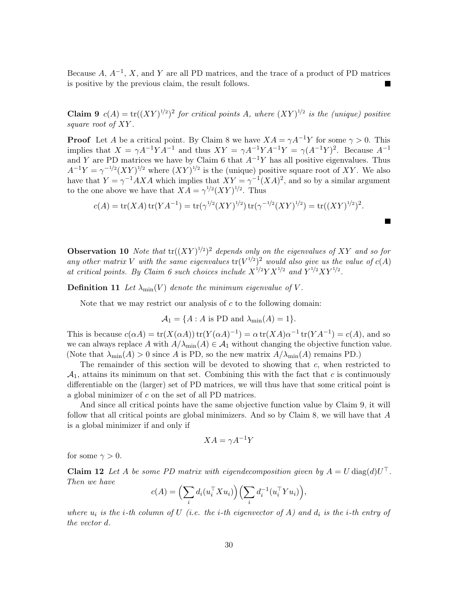Because  $A, A^{-1}, X$ , and Y are all PD matrices, and the trace of a product of PD matrices is positive by the previous claim, the result follows.

<span id="page-29-0"></span>**Claim 9**  $c(A) = \text{tr}((XY)^{1/2})^2$  for critical points A, where  $(XY)^{1/2}$  is the (unique) positive square root of XY.

**Proof** Let A be a critical point. By Claim [8](#page-28-1) we have  $XA = \gamma A^{-1}Y$  for some  $\gamma > 0$ . This implies that  $X = \gamma A^{-1} Y A^{-1}$  and thus  $XY = \gamma A^{-1} Y A^{-1} Y = \gamma (A^{-1} Y)^2$ . Because  $A^{-1}$ and Y are PD matrices we have by Claim [6](#page-28-2) that  $A^{-1}Y$  has all positive eigenvalues. Thus  $A^{-1}Y = \gamma^{-1/2} (XY)^{1/2}$  where  $(XY)^{1/2}$  is the (unique) positive square root of XY. We also have that  $Y = \gamma^{-1}AXA$  which implies that  $XY = \gamma^{-1}(XA)^2$ , and so by a similar argument to the one above we have that  $XA = \gamma^{1/2} (XY)^{1/2}$ . Thus

$$
c(A) = \text{tr}(XA) \,\text{tr}(YA^{-1}) = \text{tr}(\gamma^{1/2} (XY)^{1/2}) \,\text{tr}(\gamma^{-1/2} (XY)^{1/2}) = \text{tr}((XY)^{1/2})^2.
$$

 $\blacksquare$ 

**Observation 10** Note that  $tr((XY)^{1/2})^2$  depends only on the eigenvalues of XY and so for any other matrix V with the same eigenvalues  $tr(V^{1/2})^2$  would also give us the value of  $c(A)$ at critical points. By Claim [6](#page-28-2) such choices include  $X^{1/2}YX^{1/2}$  and  $Y^{1/2}XY^{1/2}$ .

**Definition 11** Let  $\lambda_{\min}(V)$  denote the minimum eigenvalue of V.

Note that we may restrict our analysis of  $c$  to the following domain:

$$
A_1 = \{A : A \text{ is PD and } \lambda_{\min}(A) = 1\}.
$$

This is because  $c(\alpha A) = \text{tr}(X(\alpha A)) \text{tr}(Y(\alpha A)^{-1}) = \alpha \text{tr}(XA)\alpha^{-1} \text{tr}(YA^{-1}) = c(A)$ , and so we can always replace A with  $A/\lambda_{\min}(A) \in \mathcal{A}_1$  without changing the objective function value. (Note that  $\lambda_{\min}(A) > 0$  since A is PD, so the new matrix  $A/\lambda_{\min}(A)$  remains PD.)

The remainder of this section will be devoted to showing that c, when restricted to  $\mathcal{A}_1$ , attains its minimum on that set. Combining this with the fact that c is continuously differentiable on the (larger) set of PD matrices, we will thus have that some critical point is a global minimizer of c on the set of all PD matrices.

And since all critical points have the same objective function value by Claim [9,](#page-29-0) it will follow that all critical points are global minimizers. And so by Claim  $8$ , we will have that  $A$ is a global minimizer if and only if

$$
XA = \gamma A^{-1}Y
$$

<span id="page-29-1"></span>for some  $\gamma > 0$ .

**Claim 12** Let A be some PD matrix with eigendecomposition given by  $A = U \text{diag}(d)U^{\top}$ . Then we have

$$
c(A) = \left(\sum_i d_i(u_i^\top X u_i)\right) \left(\sum_i d_i^{-1}(u_i^\top Y u_i)\right),
$$

where  $u_i$  is the i-th column of U (i.e. the i-th eigenvector of A) and  $d_i$  is the i-th entry of the vector d.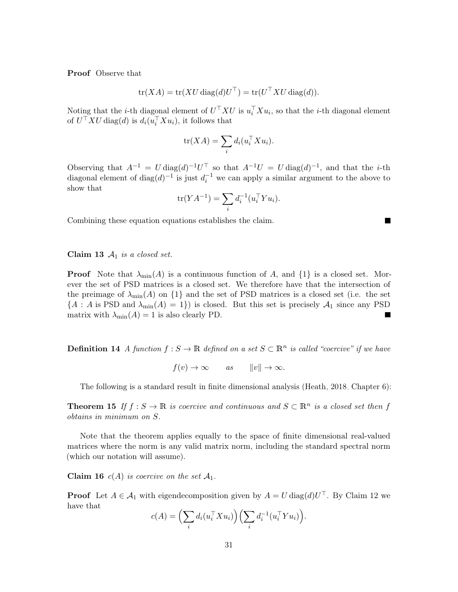Proof Observe that

$$
\operatorname{tr}(XA) = \operatorname{tr}(XU \operatorname{diag}(d)U^{\top}) = \operatorname{tr}(U^{\top}XU \operatorname{diag}(d)).
$$

Noting that the *i*-th diagonal element of  $U<sup>T</sup> X U$  is  $u_i<sup>T</sup> X u_i$ , so that the *i*-th diagonal element of  $U^{\top} X U \text{ diag}(d)$  is  $d_i(u_i^{\top} X u_i)$ , it follows that

$$
\operatorname{tr}(XA) = \sum_i d_i(u_i^\top X u_i).
$$

Observing that  $A^{-1} = U \text{diag}(d)^{-1} U^{\top}$  so that  $A^{-1} U = U \text{diag}(d)^{-1}$ , and that the *i*-th diagonal element of  $\text{diag}(d)^{-1}$  is just  $d_i^{-1}$  we can apply a similar argument to the above to show that

$$
\operatorname{tr}(YA^{-1}) = \sum_i d_i^{-1}(u_i^\top Yu_i).
$$

П

Combining these equation equations establishes the claim.

<span id="page-30-0"></span>Claim 13  $A_1$  is a closed set.

**Proof** Note that  $\lambda_{\min}(A)$  is a continuous function of A, and  $\{1\}$  is a closed set. Morever the set of PSD matrices is a closed set. We therefore have that the intersection of the preimage of  $\lambda_{\min}(A)$  on  $\{1\}$  and the set of PSD matrices is a closed set (i.e. the set  ${A : A \text{ is PSD and } \lambda_{\min}(A) = 1}$  is closed. But this set is precisely  $A_1$  since any PSD matrix with  $\lambda_{\min}(A) = 1$  is also clearly PD. П

**Definition 14** A function  $f : S \to \mathbb{R}$  defined on a set  $S \subset \mathbb{R}^n$  is called "coercive" if we have

 $f(v) \to \infty$  as  $||v|| \to \infty$ .

The following is a standard result in finite dimensional analysis [\(Heath, 2018,](#page-34-7) Chapter 6):

<span id="page-30-2"></span>**Theorem 15** If  $f : S \to \mathbb{R}$  is coercive and continuous and  $S \subset \mathbb{R}^n$  is a closed set then f obtains in minimum on S.

Note that the theorem applies equally to the space of finite dimensional real-valued matrices where the norm is any valid matrix norm, including the standard spectral norm (which our notation will assume).

<span id="page-30-1"></span>**Claim 16**  $c(A)$  is coercive on the set  $A_1$ .

**Proof** Let  $A \in \mathcal{A}_1$  with eigendecomposition given by  $A = U \text{diag}(d) U^{\top}$ . By Claim [12](#page-29-1) we have that

$$
c(A) = \left(\sum_i d_i(u_i^\top X u_i)\right) \left(\sum_i d_i^{-1}(u_i^\top Y u_i)\right).
$$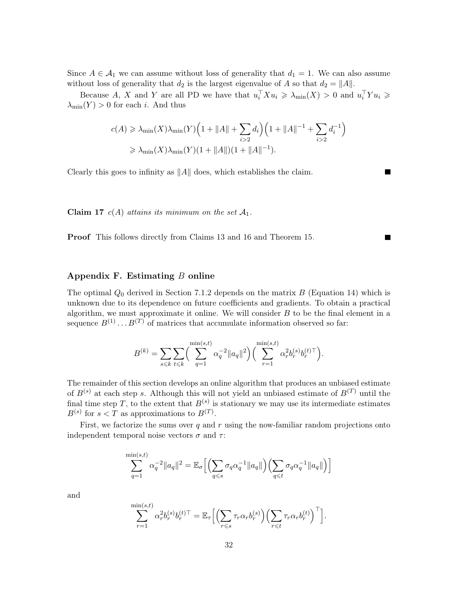Since  $A \in \mathcal{A}_1$  we can assume without loss of generality that  $d_1 = 1$ . We can also assume without loss of generality that  $d_2$  is the largest eigenvalue of A so that  $d_2 = ||A||$ .

Because A, X and Y are all PD we have that  $u_i^{\top} X u_i \geq \lambda_{\min}(X) > 0$  and  $u_i^{\top} Y u_i \geq$  $\lambda_{\min}(Y) > 0$  for each *i*. And thus

$$
c(A) \ge \lambda_{\min}(X)\lambda_{\min}(Y)\Big(1 + \|A\| + \sum_{i>2} d_i\Big)\Big(1 + \|A\|^{-1} + \sum_{i>2} d_i^{-1}\Big)
$$
  

$$
\ge \lambda_{\min}(X)\lambda_{\min}(Y)(1 + \|A\|)(1 + \|A\|^{-1}).
$$

■

 $\blacksquare$ 

Clearly this goes to infinity as  $||A||$  does, which establishes the claim.

Claim 17  $c(A)$  attains its minimum on the set  $A_1$ .

Proof This follows directly from Claims [13](#page-30-0) and [16](#page-30-1) and Theorem [15.](#page-30-2)

## Appendix F. Estimating  $B$  online

The optimal  $Q_0$  derived in Section [7.1.2](#page-12-0) depends on the matrix B (Equation [14\)](#page-12-3) which is unknown due to its dependence on future coefficients and gradients. To obtain a practical algorithm, we must approximate it online. We will consider  $B$  to be the final element in a sequence  $B^{(1)} \dots B^{(T)}$  of matrices that accumulate information observed so far:

$$
B^{(k)} = \sum_{s \leq k} \sum_{t \leq k} \left( \sum_{q=1}^{\min(s,t)} \alpha_q^{-2} ||a_q||^2 \right) \left( \sum_{r=1}^{\min(s,t)} \alpha_r^{2} b_r^{(s)} b_r^{(t)\top} \right).
$$

The remainder of this section develops an online algorithm that produces an unbiased estimate of  $B^{(s)}$  at each step s. Although this will not yield an unbiased estimate of  $B^{(T)}$  until the final time step T, to the extent that  $B^{(s)}$  is stationary we may use its intermediate estimates  $B^{(s)}$  for  $s < T$  as approximations to  $B^{(T)}$ .

First, we factorize the sums over q and r using the now-familiar random projections onto independent temporal noise vectors  $\sigma$  and  $\tau$ :

$$
\sum_{q=1}^{\min(s,t)} \alpha_q^{-2} ||a_q||^2 = \mathbb{E}_{\sigma} \Big[ \Big( \sum_{q \leq s} \sigma_q \alpha_q^{-1} ||a_q|| \Big) \Big( \sum_{q \leq t} \sigma_q \alpha_q^{-1} ||a_q|| \Big) \Big]
$$

and

$$
\sum_{r=1}^{\min(s,t)} \alpha_r^2 b_r^{(s)} b_r^{(t)\top} = \mathbb{E}_{\tau} \Big[ \Big( \sum_{r \leq s} \tau_r \alpha_r b_r^{(s)} \Big) \Big( \sum_{r \leq t} \tau_r \alpha_r b_r^{(t)} \Big)^\top \Big].
$$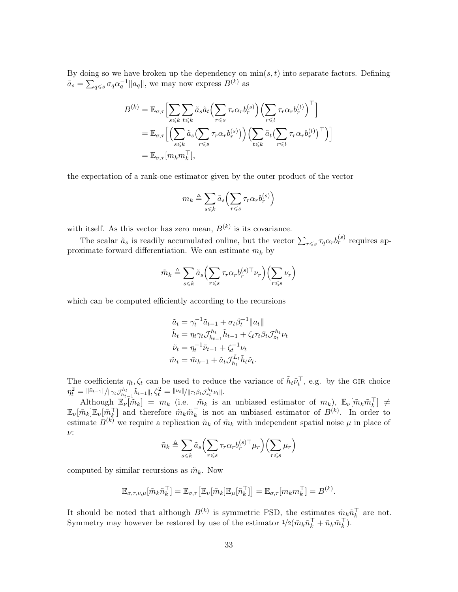By doing so we have broken up the dependency on  $\min(s, t)$  into separate factors. Defining  $\tilde{a}_s = \sum_{q \leqslant s} \sigma_q \alpha_q^{-1} ||a_q||$ , we may now express  $B^{(k)}$  as

$$
B^{(k)} = \mathbb{E}_{\sigma,\tau} \Big[ \sum_{s \le k} \sum_{t \le k} \tilde{a}_s \tilde{a}_t \Big( \sum_{r \le s} \tau_r \alpha_r b_r^{(s)} \Big) \Big( \sum_{r \le t} \tau_r \alpha_r b_r^{(t)} \Big)^\top \Big]
$$
  
= 
$$
\mathbb{E}_{\sigma,\tau} \Big[ \Big( \sum_{s \le k} \tilde{a}_s \Big( \sum_{r \le s} \tau_r \alpha_r b_r^{(s)} \Big) \Big) \Big( \sum_{t \le k} \tilde{a}_t \Big( \sum_{r \le t} \tau_r \alpha_r b_r^{(t)} \Big)^\top \Big) \Big]
$$
  
= 
$$
\mathbb{E}_{\sigma,\tau} \big[ m_k m_k^\top \big],
$$

the expectation of a rank-one estimator given by the outer product of the vector

$$
m_k \triangleq \sum_{s \leq k} \tilde{a}_s \left( \sum_{r \leq s} \tau_r \alpha_r b_r^{(s)} \right)
$$

with itself. As this vector has zero mean,  $B^{(k)}$  is its covariance.

The scalar  $\tilde{a}_s$  is readily accumulated online, but the vector  $\sum_{r\leqslant s}\tau_q\alpha_r b_r^{(s)}$  requires approximate forward differentiation. We can estimate  $m_k$  by

$$
\tilde{m}_k \triangleq \sum_{s \leq k} \tilde{a}_s \left( \sum_{r \leq s} \tau_r \alpha_r b_r^{(s) \top} \nu_r \right) \left( \sum_{r \leq s} \nu_r \right)
$$

which can be computed efficiently according to the recursions

$$
\tilde{a}_t = \gamma_t^{-1} \tilde{a}_{t-1} + \sigma_t \beta_t^{-1} ||a_t||
$$
  
\n
$$
\tilde{h}_t = \eta_t \gamma_t \mathcal{J}_{h_{t-1}}^{h_t} \tilde{h}_{t-1} + \zeta_t \tau_t \beta_t \mathcal{J}_{z_t}^{h_t} \nu_t
$$
  
\n
$$
\tilde{\nu}_t = \eta_t^{-1} \tilde{\nu}_{t-1} + \zeta_t^{-1} \nu_t
$$
  
\n
$$
\tilde{m}_t = \tilde{m}_{k-1} + \tilde{a}_t \mathcal{J}_{h_t}^{L_t} \tilde{h}_t \tilde{\nu}_t.
$$

The coefficients  $\eta_t, \zeta_t$  can be used to reduce the variance of  $\tilde{h}_t \tilde{\nu}_t^{\top}$ , e.g. by the GIR choice  $\eta^2_t = \|\tilde{\nu}_{t-1}\|/ \|\gamma_t \mathcal{J}_{h_{t-1}}^{h_t} \tilde{h}_{t-1}\|, \zeta^2_t = \|\nu_t\|/ \|\tau_t \beta_t \mathcal{J}_{z_t}^{h_t} \nu_t\|.$ 

Although  $\mathbb{E}_{\nu}[\tilde{m}_k] = m_k$  (i.e.  $\tilde{m}_k$  is an unbiased estimator of  $m_k$ ),  $\mathbb{E}_{\nu}[\tilde{m}_k \tilde{m}_k^{\top}] \neq$  $\mathbb{E}_{\nu}[\tilde{m}_k] \mathbb{E}_{\nu}[\tilde{m}_k^{\top}]$  and therefore  $\tilde{m}_k \tilde{m}_k^{\top}$  is not an unbiased estimator of  $B^{(k)}$ . In order to estimate  $B^{(k)}$  we require a replication  $\tilde{n}_k$  of  $\tilde{m}_k$  with independent spatial noise  $\mu$  in place of ν:

$$
\tilde{n}_k \triangleq \sum_{s \leq k} \tilde{a}_s \left( \sum_{r \leq s} \tau_r \alpha_r b_r^{(s)} \tau \mu_r \right) \left( \sum_{r \leq s} \mu_r \right)
$$

computed by similar recursions as  $\tilde{m}_k$ . Now

$$
\mathbb{E}_{\sigma,\tau,\nu,\mu}[\tilde{m}_k\tilde{n}_k^{\top}] = \mathbb{E}_{\sigma,\tau}\big[\mathbb{E}_{\nu}[\tilde{m}_k]\mathbb{E}_{\mu}[\tilde{n}_k^{\top}]\big] = \mathbb{E}_{\sigma,\tau}[m_km_k^{\top}] = B^{(k)}.
$$

It should be noted that although  $B^{(k)}$  is symmetric PSD, the estimates  $\tilde{m}_k \tilde{n}_k^{\top}$  are not. Symmetry may however be restored by use of the estimator  $1/2(\tilde{m}_k \tilde{n}_k^{\top} + \tilde{n}_k \tilde{m}_k^{\top})$ .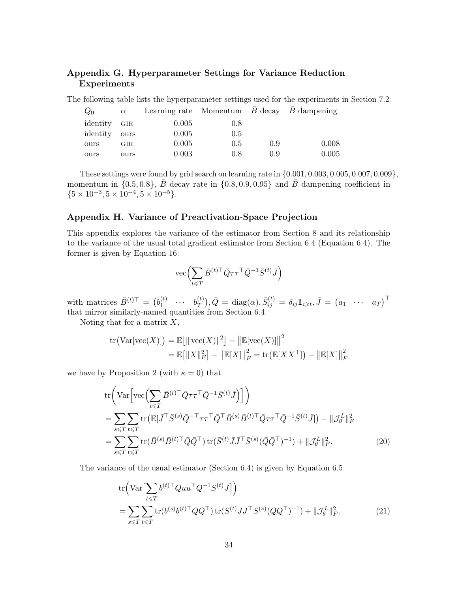# Appendix G. Hyperparameter Settings for Variance Reduction Experiments

The following table lists the hyperparameter settings used for the experiments in Section [7.2:](#page-14-0)

| $Q_0$    | $\alpha$ |       |     |     | Learning rate Momentum $B$ decay $B$ dampening |
|----------|----------|-------|-----|-----|------------------------------------------------|
| identity | GIR      | 0.005 | 0.8 |     |                                                |
| identity | ours     | 0.005 | 0.5 |     |                                                |
| ours     | GIR.     | 0.005 | 0.5 | 0.9 | 0.008                                          |
| ours     | ours     | 0.003 | 0.8 | 0.9 | 0.005                                          |

These settings were found by grid search on learning rate in {0.001, 0.003, 0.005, 0.007, 0.009}, momentum in  $\{0.5, 0.8\}$ ,  $\bar{B}$  decay rate in  $\{0.8, 0.9, 0.95\}$  and  $\bar{B}$  dampening coefficient in  ${5 \times 10^{-3}, 5 \times 10^{-4}, 5 \times 10^{-5}}.$ 

# Appendix H. Variance of Preactivation-Space Projection

This appendix explores the variance of the estimator from Section [8](#page-16-0) and its relationship to the variance of the usual total gradient estimator from Section [6.4](#page-9-0) (Equation [6.4\)](#page-9-0). The former is given by Equation [16:](#page-18-0)

<span id="page-33-1"></span>
$$
\mathrm{vec}\Bigl(\sum_{t\leqslant T}\bar B^{(t)\top}\bar Q\tau\tau^\top\bar Q^{-1}\bar S^{(t)}\bar J\Bigr)
$$

with matrices  $\bar{B}^{(t)\top} = (b_1^{(t)})$  $\stackrel{(t)}{1} \cdots \stackrel{b^{(t)}_T}{1}$  $\big(\begin{smallmatrix} (t)\ T\end{smallmatrix}\big), \bar{Q} \,=\, \mathrm{diag}(\alpha), \bar{S}^{(t)}_{ij} \,=\, \delta_{ij} \mathbb{1}_{i\geqslant t}, \bar{J} \,=\, \begin{pmatrix} a_1 & \cdots & a_T \end{pmatrix}^\top$ that mirror similarly-named quantities from Section [6.4.](#page-9-0)

Noting that for a matrix  $X$ ,

tr
$$
(Var[vec(X)]) = \mathbb{E}[\|\text{vec}(X)\|^2] - \|\mathbb{E}[vec(X)]\|^2
$$
  
=  $\mathbb{E}[\|X\|_F^2] - \|\mathbb{E}[X]\|_F^2 = \text{tr}(\mathbb{E}[XX^\top]) - \|\mathbb{E}[X]\|_F^2$ 

we have by Proposition [2](#page-23-1) (with  $\kappa = 0$ ) that

$$
\operatorname{tr}\left(\operatorname{Var}\left[\operatorname{vec}\left(\sum_{t\leq T}\bar{B}^{(t)\top}\bar{Q}\tau\tau^{\top}\bar{Q}^{-1}\bar{S}^{(t)}\bar{J}\right)\right]\right) \n= \sum_{s\leq T}\sum_{t\leq T}\operatorname{tr}\left(\mathbb{E}[\bar{J}^{\top}\bar{S}^{(s)}\bar{Q}^{-\top}\tau\tau^{\top}\bar{Q}^{\top}\bar{B}^{(s)}\bar{B}^{(t)\top}\bar{Q}\tau\tau^{\top}\bar{Q}^{-1}\bar{S}^{(t)}\bar{J}\right)\right) - \|\mathcal{J}_{\theta}^{L}\|_{F}^{2} \n= \sum_{s\leq T}\sum_{t\leq T}\operatorname{tr}(\bar{B}^{(s)}\bar{B}^{(t)\top}\bar{Q}\bar{Q}^{\top})\operatorname{tr}(\bar{S}^{(t)}\bar{J}\bar{J}^{\top}\bar{S}^{(s)}(\bar{Q}\bar{Q}^{\top})^{-1}) + \|\mathcal{J}_{\theta}^{L}\|_{F}^{2}.
$$
\n(20)

The variance of the usual estimator (Section [6.4\)](#page-9-0) is given by Equation [6.5:](#page-10-1)

<span id="page-33-0"></span>
$$
\text{tr}\Big(\text{Var}\big[\sum_{t\leq T} b^{(t)\top}Quu^{\top}Q^{-1}S^{(t)}J\big]\Big) \n= \sum_{s\leq T} \sum_{t\leq T} \text{tr}(b^{(s)}b^{(t)\top}QQ^{\top})\,\text{tr}(S^{(t)}JJ^{\top}S^{(s)}(QQ^{\top})^{-1}) + ||\mathcal{J}_{\theta}^{L}||_{F}^{2}.
$$
\n(21)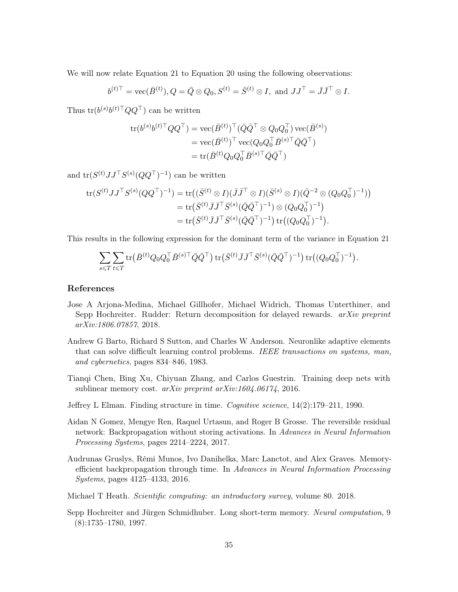We will now relate Equation [21](#page-33-0) to Equation [20](#page-33-1) using the following observations:

$$
b^{(t)\top} = \text{vec}(\bar{B}^{(t)}), Q = \bar{Q} \otimes Q_0, S^{(t)} = \bar{S}^{(t)} \otimes I, \text{ and } JJ^{\top} = \bar{J}\bar{J}^{\top} \otimes I.
$$

Thus  $tr(b^{(s)}b^{(t)}^\top QQ^\top)$  can be written

$$
\operatorname{tr}(b^{(s)}b^{(t)\top}QQ^{\top}) = \operatorname{vec}(\bar{B}^{(t)})^{\top}(\bar{Q}\bar{Q}^{\top} \otimes Q_0Q_0^{\top})\operatorname{vec}(\bar{B}^{(s)})
$$

$$
= \operatorname{vec}(\bar{B}^{(t)})^{\top}\operatorname{vec}(Q_0Q_0^{\top}\bar{B}^{(s)\top}\bar{Q}\bar{Q}^{\top})
$$

$$
= \operatorname{tr}(\bar{B}^{(t)}Q_0Q_0^{\top}\bar{B}^{(s)\top}\bar{Q}\bar{Q}^{\top})
$$

and  $tr(S^{(t)}JJ^{\top}S^{(s)}(QQ^{\top})^{-1})$  can be written

$$
\begin{split} \text{tr}(S^{(t)}JJ^{\top}S^{(s)}(QQ^{\top})^{-1}) &= \text{tr}\big((\bar{S}^{(t)} \otimes I)(\bar{J}\bar{J}^{\top} \otimes I)(\bar{S}^{(s)} \otimes I)(\bar{Q}^{-2} \otimes (Q_0 Q_0^{\top})^{-1})\big) \\ &= \text{tr}\big(\bar{S}^{(t)}\bar{J}\bar{J}^{\top}\bar{S}^{(s)}(\bar{Q}\bar{Q}^{\top})^{-1}\big) \otimes (Q_0 Q_0^{\top})^{-1}\big) \\ &= \text{tr}\big(\bar{S}^{(t)}\bar{J}\bar{J}^{\top}\bar{S}^{(s)}(\bar{Q}\bar{Q}^{\top})^{-1}\big) \,\text{tr}\big((Q_0 Q_0^{\top})^{-1}\big). \end{split}
$$

This results in the following expression for the dominant term of the variance in Equation [21:](#page-33-0)

$$
\sum_{s \leq T} \sum_{t \leq T} \text{tr}(\bar{B}^{(t)}Q_0 Q_0^{\top} \bar{B}^{(s)\top} \bar{Q} \bar{Q}^{\top}) \text{tr}(\bar{S}^{(t)} \bar{J} \bar{J}^{\top} \bar{S}^{(s)} (\bar{Q} \bar{Q}^{\top})^{-1}) \text{tr}((Q_0 Q_0^{\top})^{-1}).
$$

# References

- <span id="page-34-6"></span>Jose A Arjona-Medina, Michael Gillhofer, Michael Widrich, Thomas Unterthiner, and Sepp Hochreiter. Rudder: Return decomposition for delayed rewards. arXiv preprint arXiv:1806.07857, 2018.
- <span id="page-34-5"></span>Andrew G Barto, Richard S Sutton, and Charles W Anderson. Neuronlike adaptive elements that can solve difficult learning control problems. IEEE transactions on systems, man, and cybernetics, pages 834–846, 1983.
- <span id="page-34-2"></span>Tianqi Chen, Bing Xu, Chiyuan Zhang, and Carlos Guestrin. Training deep nets with sublinear memory cost.  $arXiv$  preprint  $arXiv:1604.06174$ , 2016.
- <span id="page-34-0"></span>Jeffrey L Elman. Finding structure in time. Cognitive science, 14(2):179–211, 1990.
- <span id="page-34-4"></span>Aidan N Gomez, Mengye Ren, Raquel Urtasun, and Roger B Grosse. The reversible residual network: Backpropagation without storing activations. In Advances in Neural Information Processing Systems, pages 2214–2224, 2017.
- <span id="page-34-3"></span>Audrunas Gruslys, Rémi Munos, Ivo Danihelka, Marc Lanctot, and Alex Graves. Memoryefficient backpropagation through time. In Advances in Neural Information Processing Systems, pages 4125–4133, 2016.
- <span id="page-34-7"></span>Michael T Heath. *Scientific computing: an introductory survey*, volume 80. 2018.
- <span id="page-34-1"></span>Sepp Hochreiter and Jürgen Schmidhuber. Long short-term memory. Neural computation, 9 (8):1735–1780, 1997.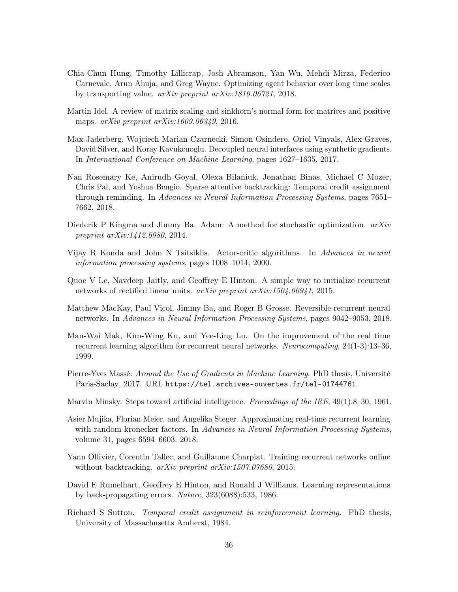- <span id="page-35-9"></span>Chia-Chun Hung, Timothy Lillicrap, Josh Abramson, Yan Wu, Mehdi Mirza, Federico Carnevale, Arun Ahuja, and Greg Wayne. Optimizing agent behavior over long time scales by transporting value. arXiv preprint arXiv:1810.06721, 2018.
- <span id="page-35-11"></span>Martin Idel. A review of matrix scaling and sinkhorn's normal form for matrices and positive maps. *arXiv preprint arXiv:1609.06349*, 2016.
- <span id="page-35-7"></span>Max Jaderberg, Wojciech Marian Czarnecki, Simon Osindero, Oriol Vinyals, Alex Graves, David Silver, and Koray Kavukcuoglu. Decoupled neural interfaces using synthetic gradients. In International Conference on Machine Learning, pages 1627–1635, 2017.
- <span id="page-35-6"></span>Nan Rosemary Ke, Anirudh Goyal, Olexa Bilaniuk, Jonathan Binas, Michael C Mozer, Chris Pal, and Yoshua Bengio. Sparse attentive backtracking: Temporal credit assignment through reminding. In Advances in Neural Information Processing Systems, pages 7651– 7662, 2018.
- <span id="page-35-13"></span>Diederik P Kingma and Jimmy Ba. Adam: A method for stochastic optimization.  $arXiv$ preprint arXiv:1412.6980, 2014.
- <span id="page-35-8"></span>Vijay R Konda and John N Tsitsiklis. Actor-critic algorithms. In Advances in neural information processing systems, pages 1008–1014, 2000.
- <span id="page-35-12"></span>Quoc V Le, Navdeep Jaitly, and Geoffrey E Hinton. A simple way to initialize recurrent networks of rectified linear units. arXiv preprint arXiv:1504.00941, 2015.
- <span id="page-35-5"></span>Matthew MacKay, Paul Vicol, Jimmy Ba, and Roger B Grosse. Reversible recurrent neural networks. In Advances in Neural Information Processing Systems, pages 9042–9053, 2018.
- <span id="page-35-3"></span>Man-Wai Mak, Kim-Wing Ku, and Yee-Ling Lu. On the improvement of the real time recurrent learning algorithm for recurrent neural networks. Neurocomputing, 24(1-3):13–36, 1999.
- <span id="page-35-10"></span>Pierre-Yves Massé. Around the Use of Gradients in Machine Learning. PhD thesis, Université Paris-Saclay, 2017. URL <https://tel.archives-ouvertes.fr/tel-01744761>.
- <span id="page-35-0"></span>Marvin Minsky. Steps toward artificial intelligence. *Proceedings of the IRE*, 49(1):8–30, 1961.
- <span id="page-35-14"></span>Asier Mujika, Florian Meier, and Angelika Steger. Approximating real-time recurrent learning with random kronecker factors. In Advances in Neural Information Processing Systems, volume 31, pages 6594–6603. 2018.
- <span id="page-35-4"></span>Yann Ollivier, Corentin Tallec, and Guillaume Charpiat. Training recurrent networks online without backtracking. arXiv preprint arXiv:1507.07680, 2015.
- <span id="page-35-2"></span>David E Rumelhart, Geoffrey E Hinton, and Ronald J Williams. Learning representations by back-propagating errors. Nature, 323(6088):533, 1986.
- <span id="page-35-1"></span>Richard S Sutton. *Temporal credit assignment in reinforcement learning*. PhD thesis, University of Massachusetts Amherst, 1984.